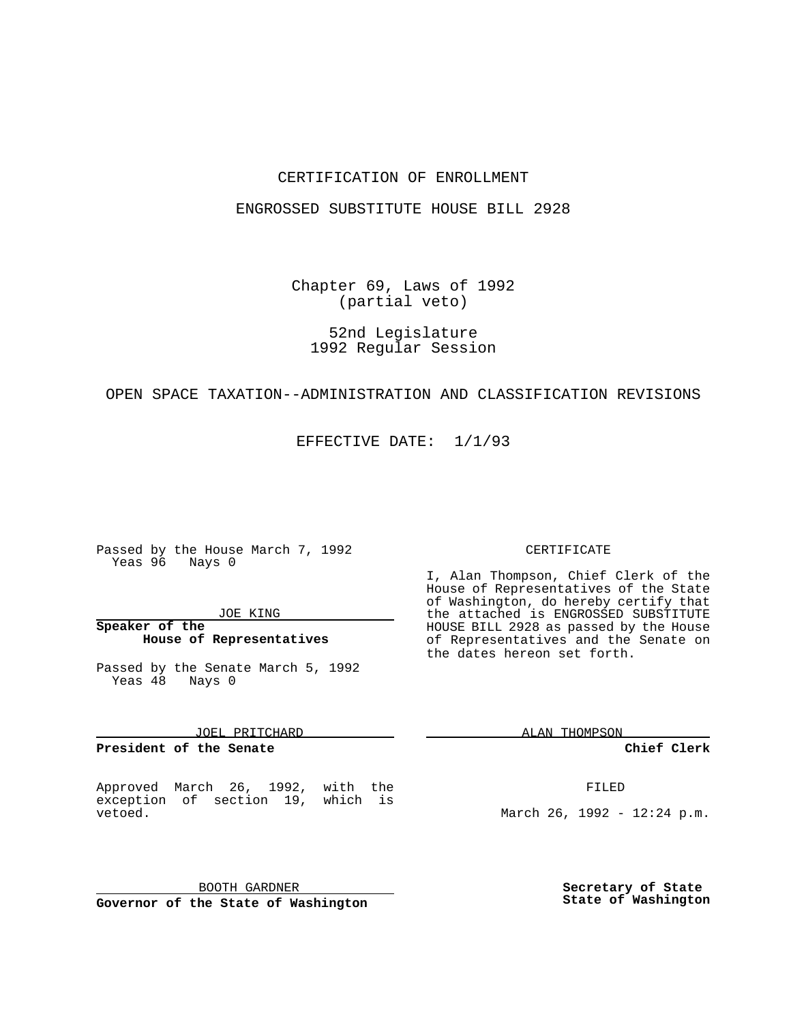## CERTIFICATION OF ENROLLMENT

### ENGROSSED SUBSTITUTE HOUSE BILL 2928

Chapter 69, Laws of 1992 (partial veto)

52nd Legislature 1992 Regular Session

### OPEN SPACE TAXATION--ADMINISTRATION AND CLASSIFICATION REVISIONS

EFFECTIVE DATE: 1/1/93

Passed by the House March 7, 1992 Yeas 96 Nays 0

#### JOE KING

## **Speaker of the House of Representatives**

Passed by the Senate March 5, 1992 Yeas 48 Nays 0

JOEL PRITCHARD

**President of the Senate**

Approved March 26, 1992, with the exception of section 19, which is vetoed.

BOOTH GARDNER **Governor of the State of Washington**

#### CERTIFICATE

I, Alan Thompson, Chief Clerk of the House of Representatives of the State of Washington, do hereby certify that the attached is ENGROSSED SUBSTITUTE HOUSE BILL 2928 as passed by the House of Representatives and the Senate on the dates hereon set forth.

ALAN THOMPSON

**Chief Clerk**

FILED

March 26, 1992 - 12:24 p.m.

**Secretary of State State of Washington**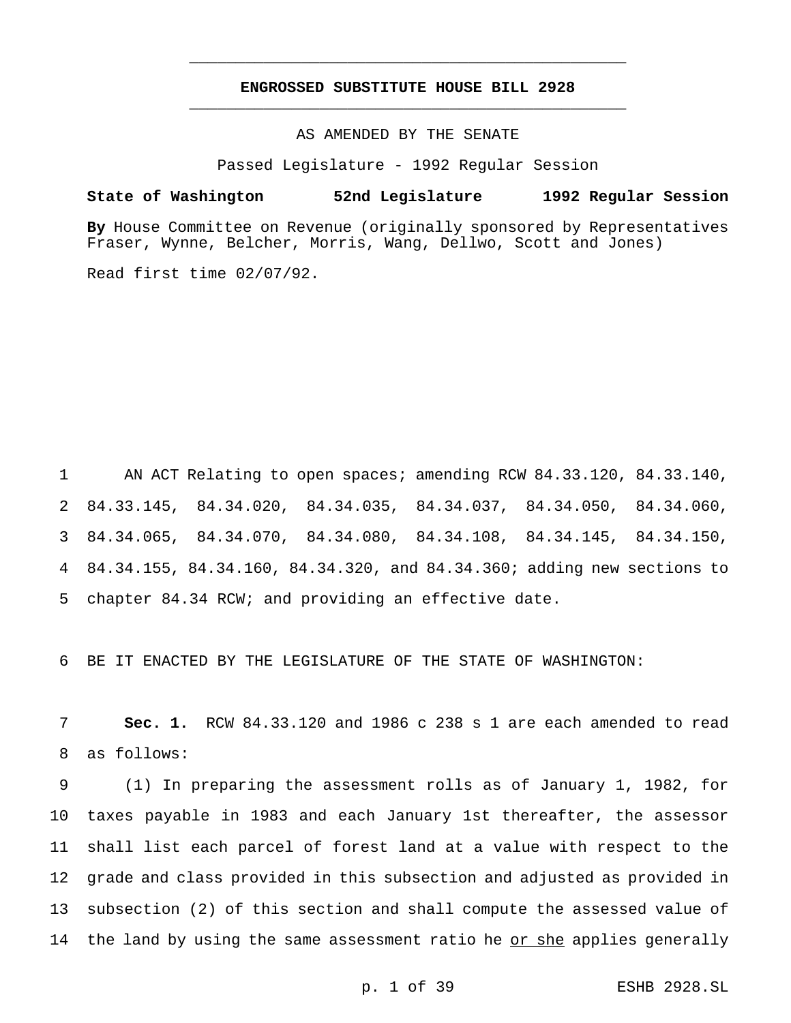# **ENGROSSED SUBSTITUTE HOUSE BILL 2928** \_\_\_\_\_\_\_\_\_\_\_\_\_\_\_\_\_\_\_\_\_\_\_\_\_\_\_\_\_\_\_\_\_\_\_\_\_\_\_\_\_\_\_\_\_\_\_

\_\_\_\_\_\_\_\_\_\_\_\_\_\_\_\_\_\_\_\_\_\_\_\_\_\_\_\_\_\_\_\_\_\_\_\_\_\_\_\_\_\_\_\_\_\_\_

AS AMENDED BY THE SENATE

Passed Legislature - 1992 Regular Session

#### **State of Washington 52nd Legislature 1992 Regular Session**

**By** House Committee on Revenue (originally sponsored by Representatives Fraser, Wynne, Belcher, Morris, Wang, Dellwo, Scott and Jones)

Read first time 02/07/92.

 AN ACT Relating to open spaces; amending RCW 84.33.120, 84.33.140, 84.33.145, 84.34.020, 84.34.035, 84.34.037, 84.34.050, 84.34.060, 84.34.065, 84.34.070, 84.34.080, 84.34.108, 84.34.145, 84.34.150, 84.34.155, 84.34.160, 84.34.320, and 84.34.360; adding new sections to chapter 84.34 RCW; and providing an effective date.

6 BE IT ENACTED BY THE LEGISLATURE OF THE STATE OF WASHINGTON:

7 **Sec. 1.** RCW 84.33.120 and 1986 c 238 s 1 are each amended to read 8 as follows:

 (1) In preparing the assessment rolls as of January 1, 1982, for taxes payable in 1983 and each January 1st thereafter, the assessor shall list each parcel of forest land at a value with respect to the grade and class provided in this subsection and adjusted as provided in subsection (2) of this section and shall compute the assessed value of 14 the land by using the same assessment ratio he or she applies generally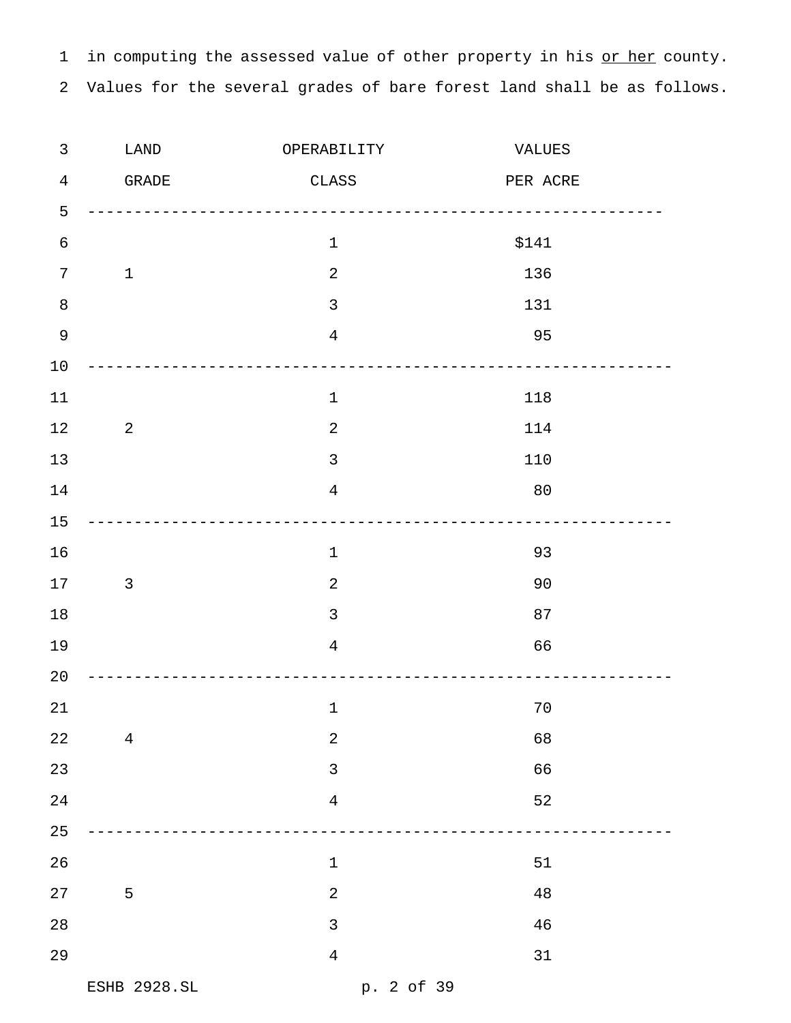1 in computing the assessed value of other property in his or her county. Values for the several grades of bare forest land shall be as follows.

| $\mathfrak{Z}$ | LAND           | OPERABILITY    | VALUES    |  |
|----------------|----------------|----------------|-----------|--|
| $\overline{4}$ | GRADE          | $\rm CLASS$    | PER ACRE  |  |
| 5              |                |                | --------- |  |
| $\sqrt{6}$     |                | $\mathbf 1$    | \$141     |  |
| 7              | $\mathbf{1}$   | $\overline{2}$ | 136       |  |
| $\,8\,$        |                | $\mathfrak{Z}$ | 131       |  |
| $\mathsf 9$    |                | $\overline{4}$ | 95        |  |
| 10             |                |                |           |  |
| 11             |                | $\mathbf 1$    | 118       |  |
| 12             | 2              | $\sqrt{2}$     | 114       |  |
| 13             |                | $\mathfrak{Z}$ | 110       |  |
| 14             |                | $\overline{4}$ | 80        |  |
| 15             |                |                |           |  |
| 16             |                | $\mathbf 1$    | 93        |  |
| 17             | $\mathbf{3}$   | $\sqrt{2}$     | 90        |  |
| 18             |                | $\mathfrak{Z}$ | 87        |  |
| 19             |                | $\overline{4}$ | 66        |  |
| 20             |                |                |           |  |
| 21             |                | $\mathbf 1$    | $70$      |  |
| 22             | $\overline{4}$ | $\sqrt{2}$     | 68        |  |
| 23             |                | $\mathfrak{Z}$ | 66        |  |
| 24             |                | $\overline{4}$ | 52        |  |
| 25             |                |                |           |  |
| 26             |                | $\mathbf 1$    | 51        |  |
| 27             | 5              | $\sqrt{2}$     | 48        |  |
| 28             |                | $\mathfrak{Z}$ | 46        |  |
| 29             |                | $\overline{4}$ | 31        |  |
|                | ESHB 2928.SL   | p. 2 of 39     |           |  |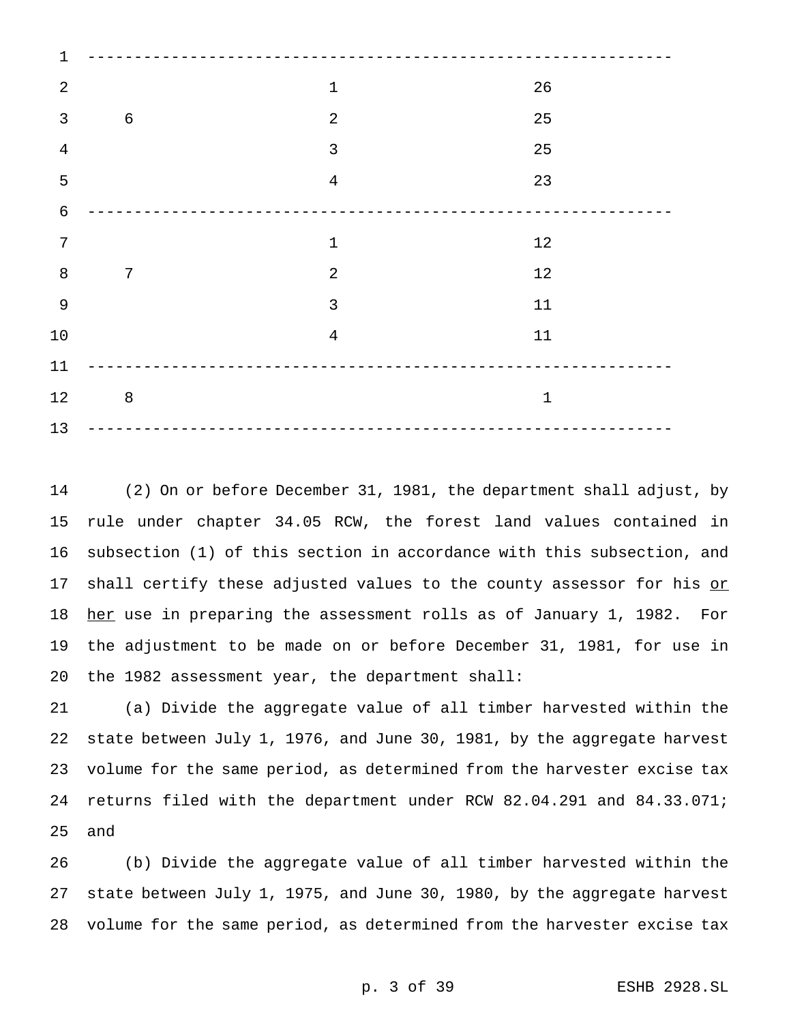| 1              |                |                |              |  |
|----------------|----------------|----------------|--------------|--|
| $\sqrt{2}$     |                | $1\,$          | 26           |  |
| $\mathsf{3}$   | $\sqrt{6}$     | $\sqrt{2}$     | 25           |  |
| $\,4$          |                | $\mathfrak{Z}$ | 25           |  |
| 5              |                | $\overline{4}$ | 23           |  |
| $\epsilon$     |                |                |              |  |
| $\overline{7}$ |                | $1\,$          | $12$         |  |
| $\, 8$         | $\overline{7}$ | $\overline{2}$ | $12$         |  |
| $\mathsf 9$    |                | $\mathfrak{Z}$ | $11\,$       |  |
| 10             |                | $\overline{4}$ | $11\,$       |  |
| 11             |                |                |              |  |
| 12             | $\,8\,$        |                | $\mathbf{1}$ |  |
| 13             | $- - -$        |                |              |  |

 (2) On or before December 31, 1981, the department shall adjust, by rule under chapter 34.05 RCW, the forest land values contained in subsection (1) of this section in accordance with this subsection, and 17 shall certify these adjusted values to the county assessor for his or 18 her use in preparing the assessment rolls as of January 1, 1982. For the adjustment to be made on or before December 31, 1981, for use in the 1982 assessment year, the department shall:

 (a) Divide the aggregate value of all timber harvested within the state between July 1, 1976, and June 30, 1981, by the aggregate harvest volume for the same period, as determined from the harvester excise tax returns filed with the department under RCW 82.04.291 and 84.33.071; and

 (b) Divide the aggregate value of all timber harvested within the state between July 1, 1975, and June 30, 1980, by the aggregate harvest volume for the same period, as determined from the harvester excise tax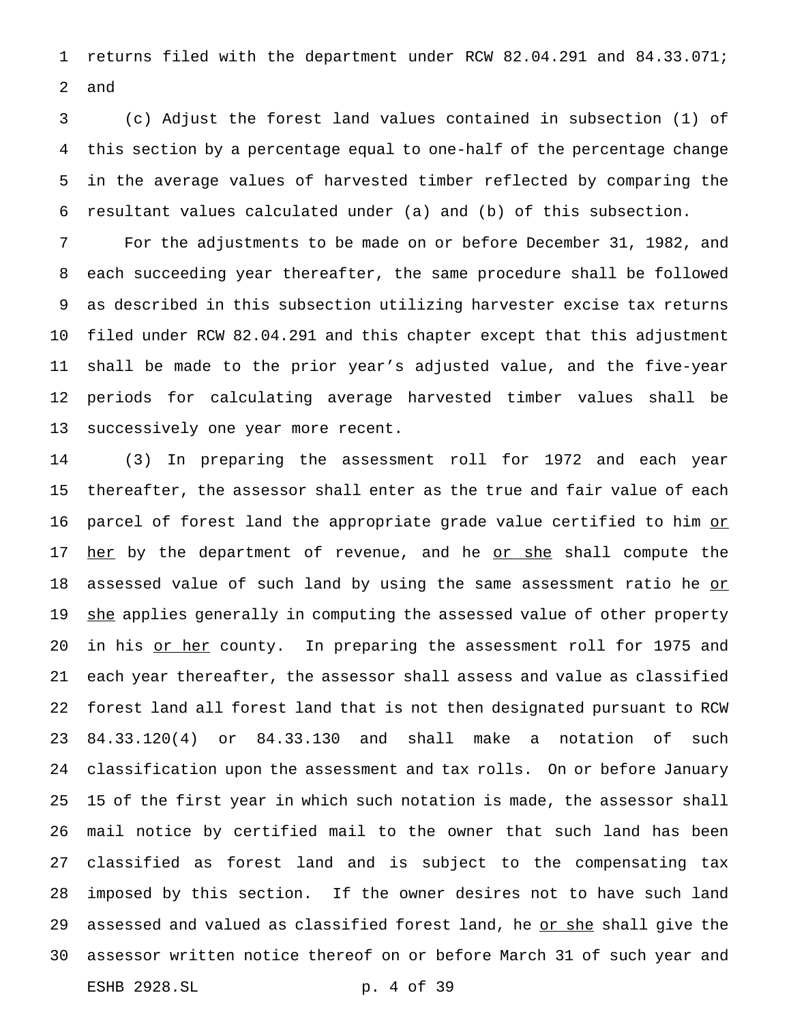returns filed with the department under RCW 82.04.291 and 84.33.071; and

 (c) Adjust the forest land values contained in subsection (1) of this section by a percentage equal to one-half of the percentage change in the average values of harvested timber reflected by comparing the resultant values calculated under (a) and (b) of this subsection.

 For the adjustments to be made on or before December 31, 1982, and each succeeding year thereafter, the same procedure shall be followed as described in this subsection utilizing harvester excise tax returns filed under RCW 82.04.291 and this chapter except that this adjustment shall be made to the prior year's adjusted value, and the five-year periods for calculating average harvested timber values shall be successively one year more recent.

 (3) In preparing the assessment roll for 1972 and each year thereafter, the assessor shall enter as the true and fair value of each 16 parcel of forest land the appropriate grade value certified to him or 17 her by the department of revenue, and he or she shall compute the 18 assessed value of such land by using the same assessment ratio he or 19 she applies generally in computing the assessed value of other property 20 in his or her county. In preparing the assessment roll for 1975 and each year thereafter, the assessor shall assess and value as classified forest land all forest land that is not then designated pursuant to RCW 84.33.120(4) or 84.33.130 and shall make a notation of such classification upon the assessment and tax rolls. On or before January 15 of the first year in which such notation is made, the assessor shall mail notice by certified mail to the owner that such land has been classified as forest land and is subject to the compensating tax imposed by this section. If the owner desires not to have such land 29 assessed and valued as classified forest land, he or she shall give the assessor written notice thereof on or before March 31 of such year and ESHB 2928.SL p. 4 of 39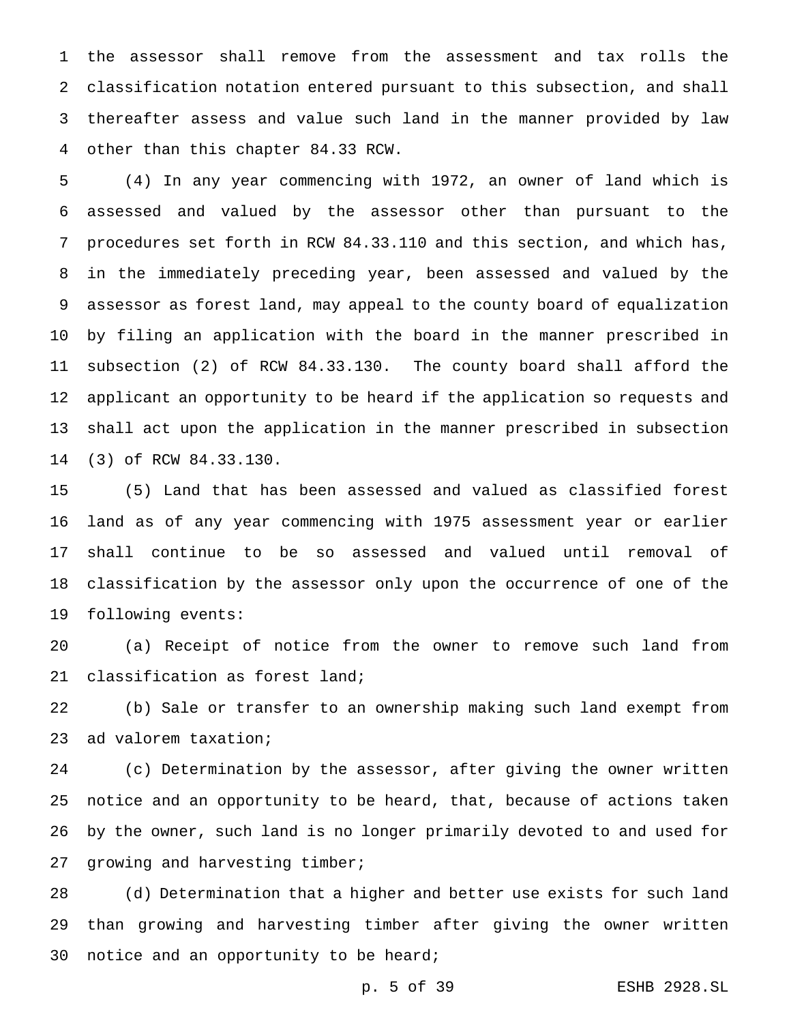the assessor shall remove from the assessment and tax rolls the classification notation entered pursuant to this subsection, and shall thereafter assess and value such land in the manner provided by law other than this chapter 84.33 RCW.

 (4) In any year commencing with 1972, an owner of land which is assessed and valued by the assessor other than pursuant to the procedures set forth in RCW 84.33.110 and this section, and which has, in the immediately preceding year, been assessed and valued by the assessor as forest land, may appeal to the county board of equalization by filing an application with the board in the manner prescribed in subsection (2) of RCW 84.33.130. The county board shall afford the applicant an opportunity to be heard if the application so requests and shall act upon the application in the manner prescribed in subsection (3) of RCW 84.33.130.

 (5) Land that has been assessed and valued as classified forest land as of any year commencing with 1975 assessment year or earlier shall continue to be so assessed and valued until removal of classification by the assessor only upon the occurrence of one of the following events:

 (a) Receipt of notice from the owner to remove such land from classification as forest land;

 (b) Sale or transfer to an ownership making such land exempt from ad valorem taxation;

 (c) Determination by the assessor, after giving the owner written notice and an opportunity to be heard, that, because of actions taken by the owner, such land is no longer primarily devoted to and used for 27 growing and harvesting timber;

 (d) Determination that a higher and better use exists for such land than growing and harvesting timber after giving the owner written notice and an opportunity to be heard;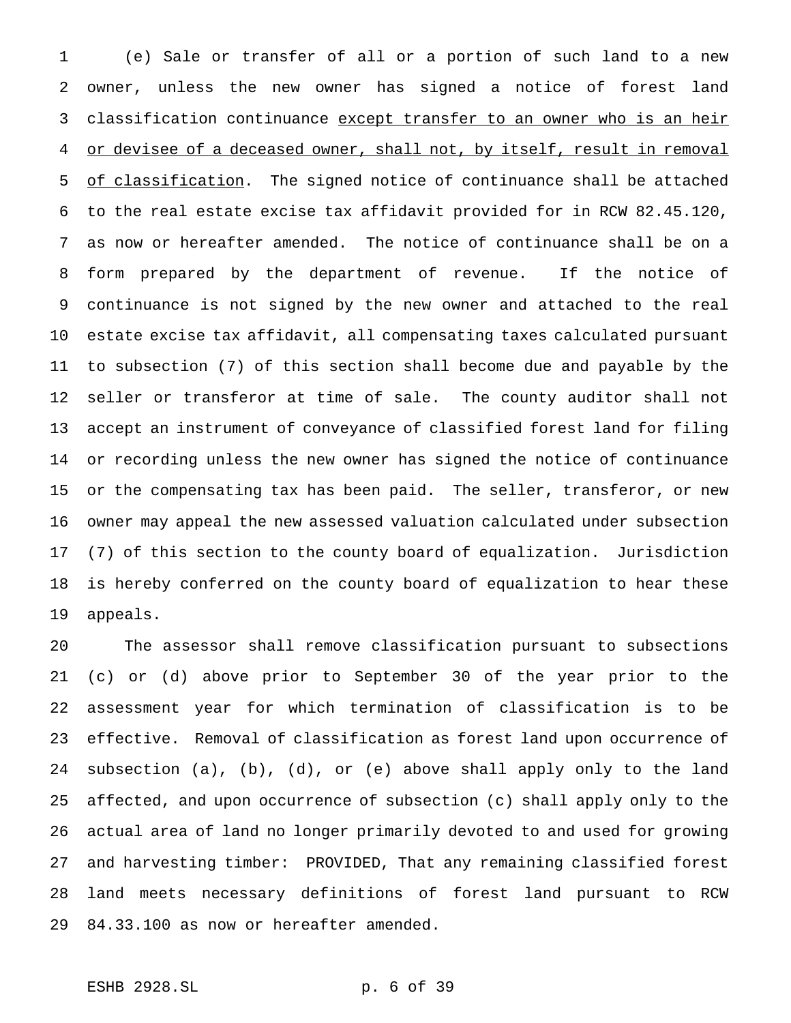(e) Sale or transfer of all or a portion of such land to a new owner, unless the new owner has signed a notice of forest land 3 classification continuance except transfer to an owner who is an heir or devisee of a deceased owner, shall not, by itself, result in removal 5 of classification. The signed notice of continuance shall be attached to the real estate excise tax affidavit provided for in RCW 82.45.120, as now or hereafter amended. The notice of continuance shall be on a form prepared by the department of revenue. If the notice of continuance is not signed by the new owner and attached to the real estate excise tax affidavit, all compensating taxes calculated pursuant to subsection (7) of this section shall become due and payable by the seller or transferor at time of sale. The county auditor shall not accept an instrument of conveyance of classified forest land for filing or recording unless the new owner has signed the notice of continuance or the compensating tax has been paid. The seller, transferor, or new owner may appeal the new assessed valuation calculated under subsection (7) of this section to the county board of equalization. Jurisdiction is hereby conferred on the county board of equalization to hear these appeals.

 The assessor shall remove classification pursuant to subsections (c) or (d) above prior to September 30 of the year prior to the assessment year for which termination of classification is to be effective. Removal of classification as forest land upon occurrence of subsection (a), (b), (d), or (e) above shall apply only to the land affected, and upon occurrence of subsection (c) shall apply only to the actual area of land no longer primarily devoted to and used for growing and harvesting timber: PROVIDED, That any remaining classified forest land meets necessary definitions of forest land pursuant to RCW 84.33.100 as now or hereafter amended.

# ESHB 2928.SL p. 6 of 39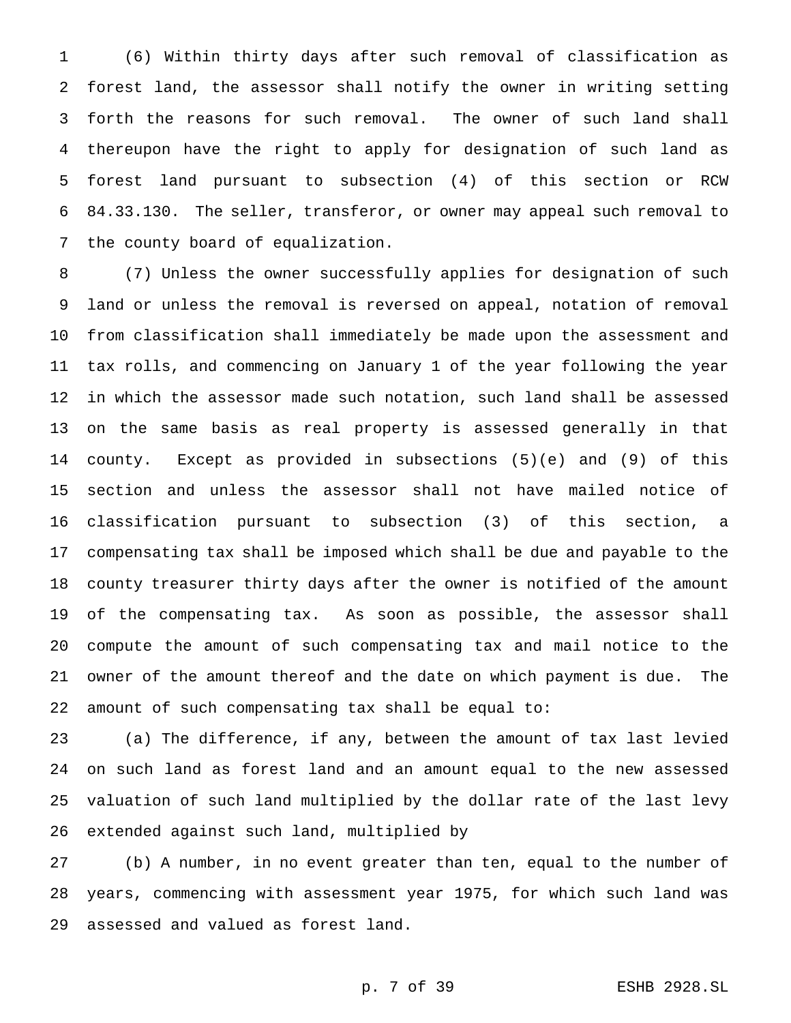(6) Within thirty days after such removal of classification as forest land, the assessor shall notify the owner in writing setting forth the reasons for such removal. The owner of such land shall thereupon have the right to apply for designation of such land as forest land pursuant to subsection (4) of this section or RCW 84.33.130. The seller, transferor, or owner may appeal such removal to the county board of equalization.

 (7) Unless the owner successfully applies for designation of such land or unless the removal is reversed on appeal, notation of removal from classification shall immediately be made upon the assessment and tax rolls, and commencing on January 1 of the year following the year in which the assessor made such notation, such land shall be assessed on the same basis as real property is assessed generally in that county. Except as provided in subsections (5)(e) and (9) of this section and unless the assessor shall not have mailed notice of classification pursuant to subsection (3) of this section, a compensating tax shall be imposed which shall be due and payable to the county treasurer thirty days after the owner is notified of the amount of the compensating tax. As soon as possible, the assessor shall compute the amount of such compensating tax and mail notice to the owner of the amount thereof and the date on which payment is due. The amount of such compensating tax shall be equal to:

 (a) The difference, if any, between the amount of tax last levied on such land as forest land and an amount equal to the new assessed valuation of such land multiplied by the dollar rate of the last levy extended against such land, multiplied by

 (b) A number, in no event greater than ten, equal to the number of years, commencing with assessment year 1975, for which such land was assessed and valued as forest land.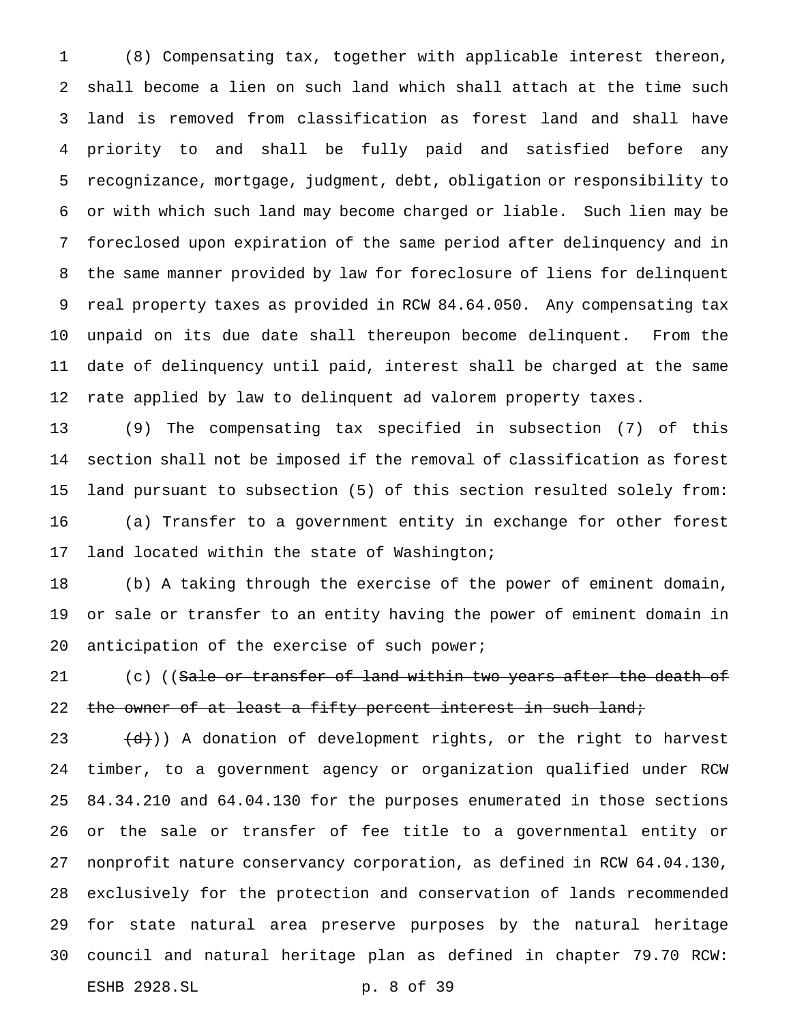(8) Compensating tax, together with applicable interest thereon, shall become a lien on such land which shall attach at the time such land is removed from classification as forest land and shall have priority to and shall be fully paid and satisfied before any recognizance, mortgage, judgment, debt, obligation or responsibility to or with which such land may become charged or liable. Such lien may be foreclosed upon expiration of the same period after delinquency and in the same manner provided by law for foreclosure of liens for delinquent real property taxes as provided in RCW 84.64.050. Any compensating tax unpaid on its due date shall thereupon become delinquent. From the date of delinquency until paid, interest shall be charged at the same rate applied by law to delinquent ad valorem property taxes.

 (9) The compensating tax specified in subsection (7) of this section shall not be imposed if the removal of classification as forest land pursuant to subsection (5) of this section resulted solely from: (a) Transfer to a government entity in exchange for other forest land located within the state of Washington;

 (b) A taking through the exercise of the power of eminent domain, or sale or transfer to an entity having the power of eminent domain in anticipation of the exercise of such power;

21 (c) ((Sale or transfer of land within two years after the death of 22 the owner of at least a fifty percent interest in such land;

 $(d)$ )) A donation of development rights, or the right to harvest timber, to a government agency or organization qualified under RCW 84.34.210 and 64.04.130 for the purposes enumerated in those sections or the sale or transfer of fee title to a governmental entity or nonprofit nature conservancy corporation, as defined in RCW 64.04.130, exclusively for the protection and conservation of lands recommended for state natural area preserve purposes by the natural heritage council and natural heritage plan as defined in chapter 79.70 RCW: ESHB 2928.SL p. 8 of 39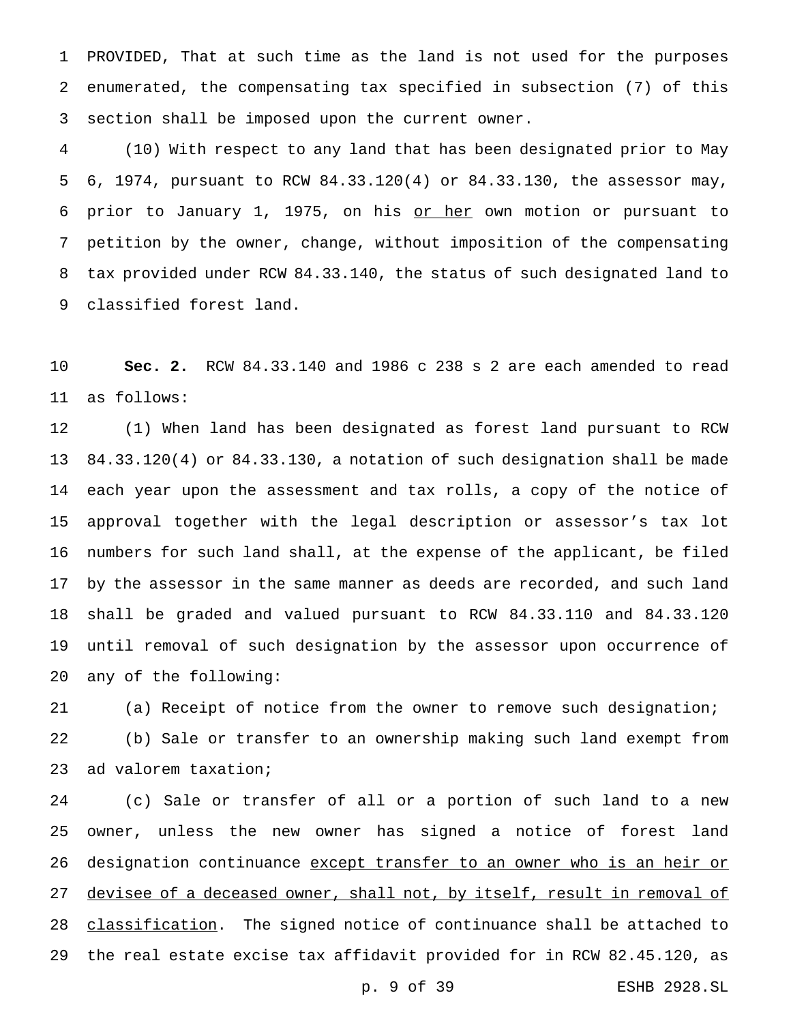PROVIDED, That at such time as the land is not used for the purposes enumerated, the compensating tax specified in subsection (7) of this section shall be imposed upon the current owner.

 (10) With respect to any land that has been designated prior to May 6, 1974, pursuant to RCW 84.33.120(4) or 84.33.130, the assessor may, 6 prior to January 1, 1975, on his or her own motion or pursuant to petition by the owner, change, without imposition of the compensating tax provided under RCW 84.33.140, the status of such designated land to classified forest land.

 **Sec. 2.** RCW 84.33.140 and 1986 c 238 s 2 are each amended to read as follows:

 (1) When land has been designated as forest land pursuant to RCW 84.33.120(4) or 84.33.130, a notation of such designation shall be made each year upon the assessment and tax rolls, a copy of the notice of approval together with the legal description or assessor's tax lot numbers for such land shall, at the expense of the applicant, be filed by the assessor in the same manner as deeds are recorded, and such land shall be graded and valued pursuant to RCW 84.33.110 and 84.33.120 until removal of such designation by the assessor upon occurrence of any of the following:

 (a) Receipt of notice from the owner to remove such designation; (b) Sale or transfer to an ownership making such land exempt from ad valorem taxation;

 (c) Sale or transfer of all or a portion of such land to a new owner, unless the new owner has signed a notice of forest land 26 designation continuance except transfer to an owner who is an heir or 27 devisee of a deceased owner, shall not, by itself, result in removal of 28 classification. The signed notice of continuance shall be attached to the real estate excise tax affidavit provided for in RCW 82.45.120, as

p. 9 of 39 ESHB 2928.SL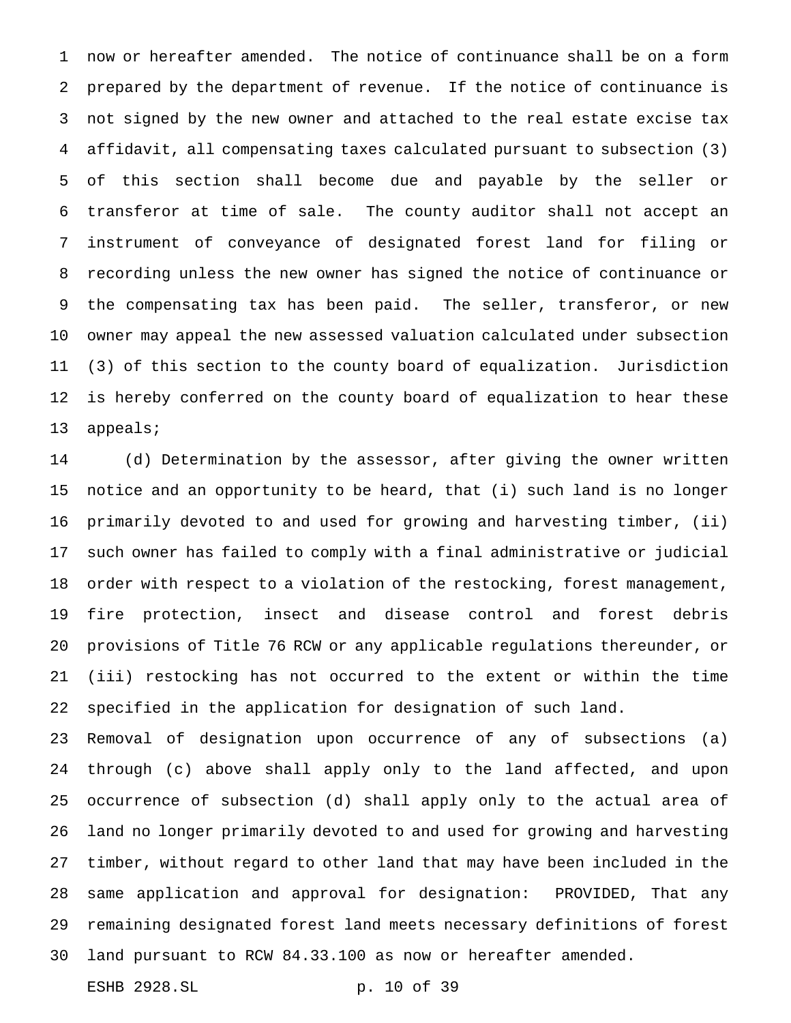now or hereafter amended. The notice of continuance shall be on a form prepared by the department of revenue. If the notice of continuance is not signed by the new owner and attached to the real estate excise tax affidavit, all compensating taxes calculated pursuant to subsection (3) of this section shall become due and payable by the seller or transferor at time of sale. The county auditor shall not accept an instrument of conveyance of designated forest land for filing or recording unless the new owner has signed the notice of continuance or the compensating tax has been paid. The seller, transferor, or new owner may appeal the new assessed valuation calculated under subsection (3) of this section to the county board of equalization. Jurisdiction is hereby conferred on the county board of equalization to hear these appeals;

 (d) Determination by the assessor, after giving the owner written notice and an opportunity to be heard, that (i) such land is no longer primarily devoted to and used for growing and harvesting timber, (ii) such owner has failed to comply with a final administrative or judicial order with respect to a violation of the restocking, forest management, fire protection, insect and disease control and forest debris provisions of Title 76 RCW or any applicable regulations thereunder, or (iii) restocking has not occurred to the extent or within the time specified in the application for designation of such land.

 Removal of designation upon occurrence of any of subsections (a) through (c) above shall apply only to the land affected, and upon occurrence of subsection (d) shall apply only to the actual area of land no longer primarily devoted to and used for growing and harvesting timber, without regard to other land that may have been included in the same application and approval for designation: PROVIDED, That any remaining designated forest land meets necessary definitions of forest land pursuant to RCW 84.33.100 as now or hereafter amended. ESHB 2928.SL p. 10 of 39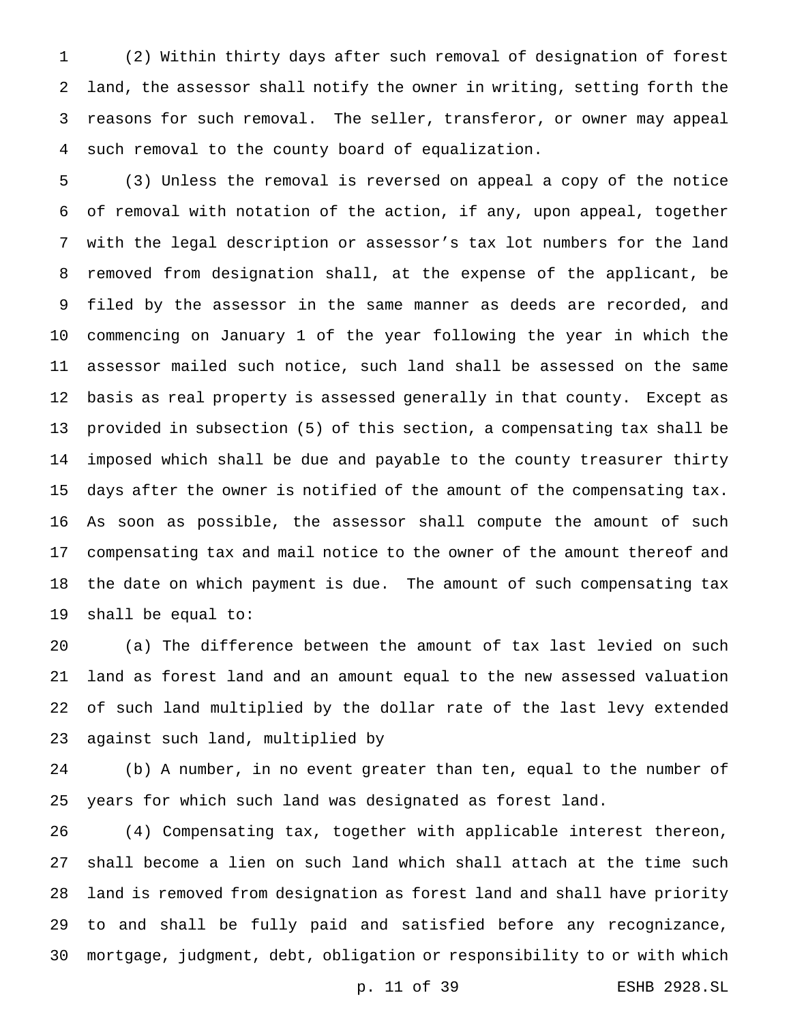(2) Within thirty days after such removal of designation of forest land, the assessor shall notify the owner in writing, setting forth the reasons for such removal. The seller, transferor, or owner may appeal such removal to the county board of equalization.

 (3) Unless the removal is reversed on appeal a copy of the notice of removal with notation of the action, if any, upon appeal, together with the legal description or assessor's tax lot numbers for the land removed from designation shall, at the expense of the applicant, be filed by the assessor in the same manner as deeds are recorded, and commencing on January 1 of the year following the year in which the assessor mailed such notice, such land shall be assessed on the same basis as real property is assessed generally in that county. Except as provided in subsection (5) of this section, a compensating tax shall be imposed which shall be due and payable to the county treasurer thirty days after the owner is notified of the amount of the compensating tax. As soon as possible, the assessor shall compute the amount of such compensating tax and mail notice to the owner of the amount thereof and the date on which payment is due. The amount of such compensating tax shall be equal to:

 (a) The difference between the amount of tax last levied on such land as forest land and an amount equal to the new assessed valuation of such land multiplied by the dollar rate of the last levy extended against such land, multiplied by

 (b) A number, in no event greater than ten, equal to the number of years for which such land was designated as forest land.

 (4) Compensating tax, together with applicable interest thereon, shall become a lien on such land which shall attach at the time such land is removed from designation as forest land and shall have priority to and shall be fully paid and satisfied before any recognizance, mortgage, judgment, debt, obligation or responsibility to or with which

p. 11 of 39 ESHB 2928.SL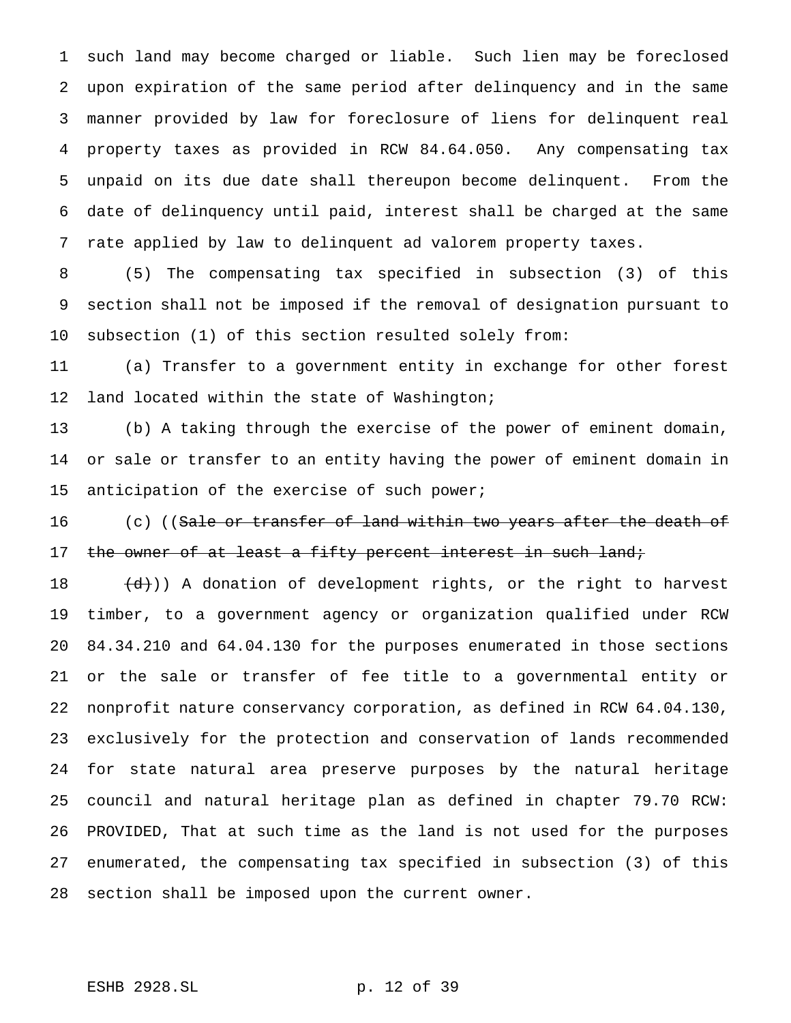such land may become charged or liable. Such lien may be foreclosed upon expiration of the same period after delinquency and in the same manner provided by law for foreclosure of liens for delinquent real property taxes as provided in RCW 84.64.050. Any compensating tax unpaid on its due date shall thereupon become delinquent. From the date of delinquency until paid, interest shall be charged at the same rate applied by law to delinquent ad valorem property taxes.

 (5) The compensating tax specified in subsection (3) of this section shall not be imposed if the removal of designation pursuant to subsection (1) of this section resulted solely from:

 (a) Transfer to a government entity in exchange for other forest 12 land located within the state of Washington;

 (b) A taking through the exercise of the power of eminent domain, or sale or transfer to an entity having the power of eminent domain in 15 anticipation of the exercise of such power;

16 (c) ((<del>Sale or transfer of land within two years after the death of</del> 17 the owner of at least a fifty percent interest in such land;

 $(d)$ )) A donation of development rights, or the right to harvest timber, to a government agency or organization qualified under RCW 84.34.210 and 64.04.130 for the purposes enumerated in those sections or the sale or transfer of fee title to a governmental entity or nonprofit nature conservancy corporation, as defined in RCW 64.04.130, exclusively for the protection and conservation of lands recommended for state natural area preserve purposes by the natural heritage council and natural heritage plan as defined in chapter 79.70 RCW: PROVIDED, That at such time as the land is not used for the purposes enumerated, the compensating tax specified in subsection (3) of this section shall be imposed upon the current owner.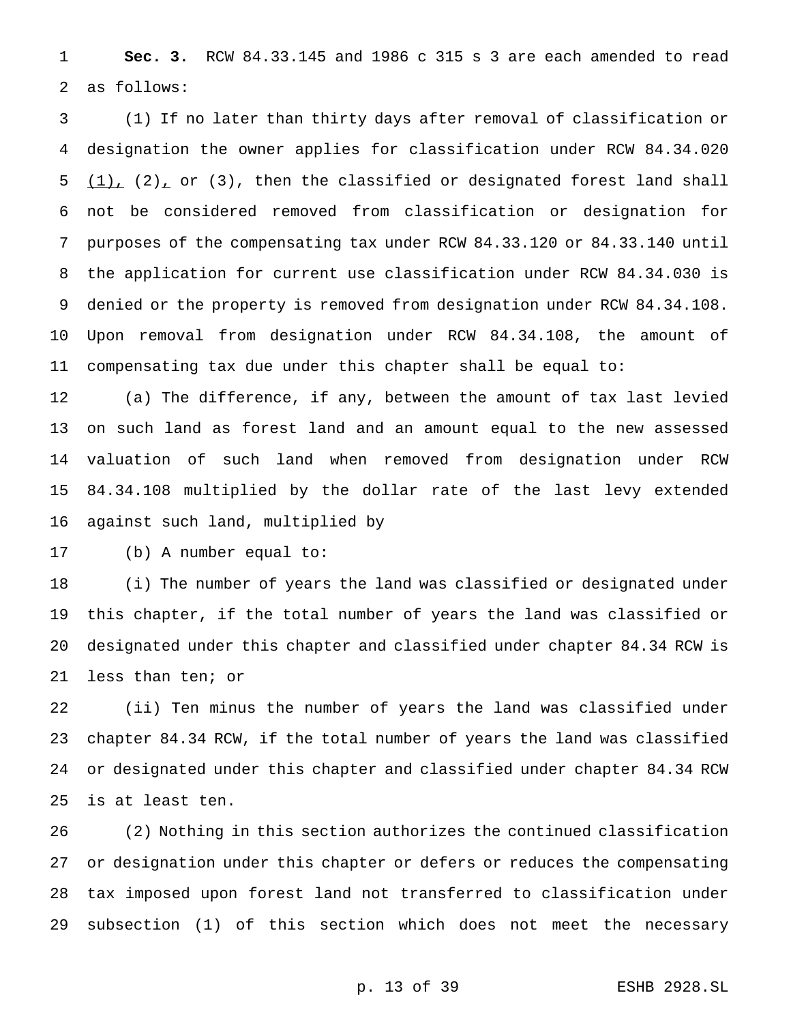**Sec. 3.** RCW 84.33.145 and 1986 c 315 s 3 are each amended to read as follows:

 (1) If no later than thirty days after removal of classification or designation the owner applies for classification under RCW 84.34.020  $(1)$ ,  $(2)$ , or  $(3)$ , then the classified or designated forest land shall not be considered removed from classification or designation for purposes of the compensating tax under RCW 84.33.120 or 84.33.140 until the application for current use classification under RCW 84.34.030 is denied or the property is removed from designation under RCW 84.34.108. Upon removal from designation under RCW 84.34.108, the amount of compensating tax due under this chapter shall be equal to:

 (a) The difference, if any, between the amount of tax last levied on such land as forest land and an amount equal to the new assessed valuation of such land when removed from designation under RCW 84.34.108 multiplied by the dollar rate of the last levy extended against such land, multiplied by

(b) A number equal to:

 (i) The number of years the land was classified or designated under this chapter, if the total number of years the land was classified or designated under this chapter and classified under chapter 84.34 RCW is less than ten; or

 (ii) Ten minus the number of years the land was classified under chapter 84.34 RCW, if the total number of years the land was classified or designated under this chapter and classified under chapter 84.34 RCW is at least ten.

 (2) Nothing in this section authorizes the continued classification or designation under this chapter or defers or reduces the compensating tax imposed upon forest land not transferred to classification under subsection (1) of this section which does not meet the necessary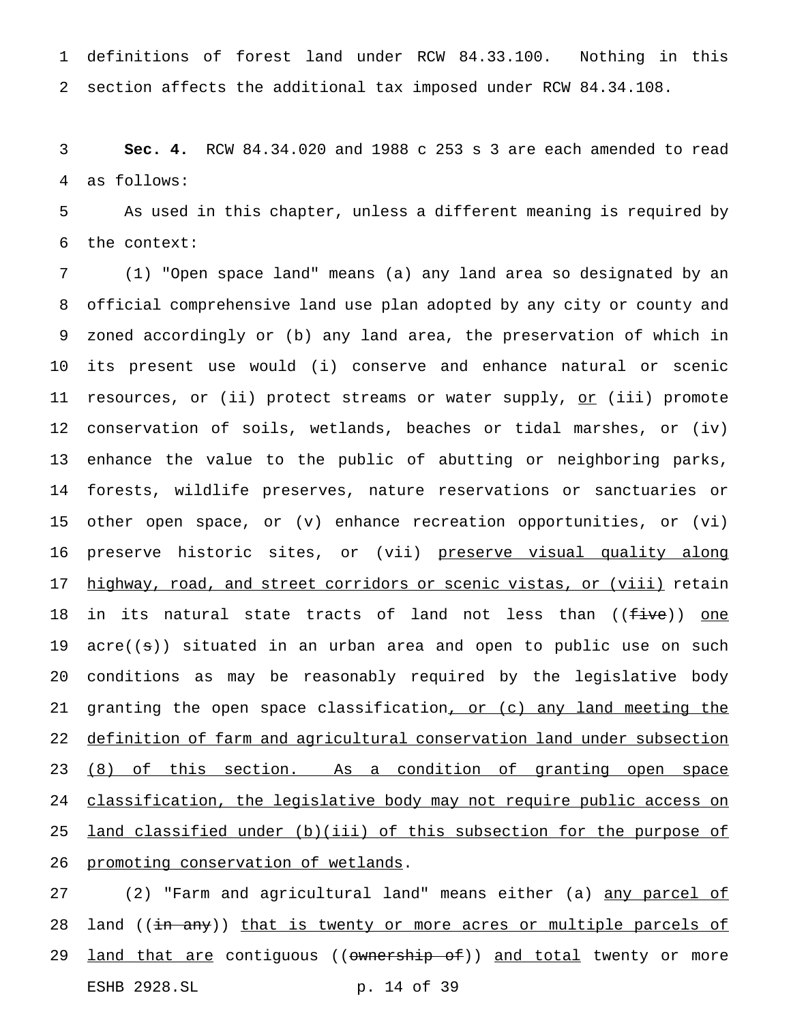definitions of forest land under RCW 84.33.100. Nothing in this section affects the additional tax imposed under RCW 84.34.108.

 **Sec. 4.** RCW 84.34.020 and 1988 c 253 s 3 are each amended to read as follows:

 As used in this chapter, unless a different meaning is required by the context:

 (1) "Open space land" means (a) any land area so designated by an official comprehensive land use plan adopted by any city or county and zoned accordingly or (b) any land area, the preservation of which in its present use would (i) conserve and enhance natural or scenic 11 resources, or (ii) protect streams or water supply, or (iii) promote conservation of soils, wetlands, beaches or tidal marshes, or (iv) enhance the value to the public of abutting or neighboring parks, forests, wildlife preserves, nature reservations or sanctuaries or other open space, or (v) enhance recreation opportunities, or (vi) 16 preserve historic sites, or (vii) preserve visual quality along highway, road, and street corridors or scenic vistas, or (viii) retain 18 in its natural state tracts of land not less than ((five)) one acre((s)) situated in an urban area and open to public use on such conditions as may be reasonably required by the legislative body 21 granting the open space classification, or (c) any land meeting the definition of farm and agricultural conservation land under subsection 23 (8) of this section. As a condition of granting open space 24 classification, the legislative body may not require public access on land classified under (b)(iii) of this subsection for the purpose of 26 promoting conservation of wetlands.

27 (2) "Farm and agricultural land" means either (a) any parcel of 28 land ((in any)) that is twenty or more acres or multiple parcels of 29 <u>land that are</u> contiguous ((ownership of)) and total twenty or more ESHB 2928.SL p. 14 of 39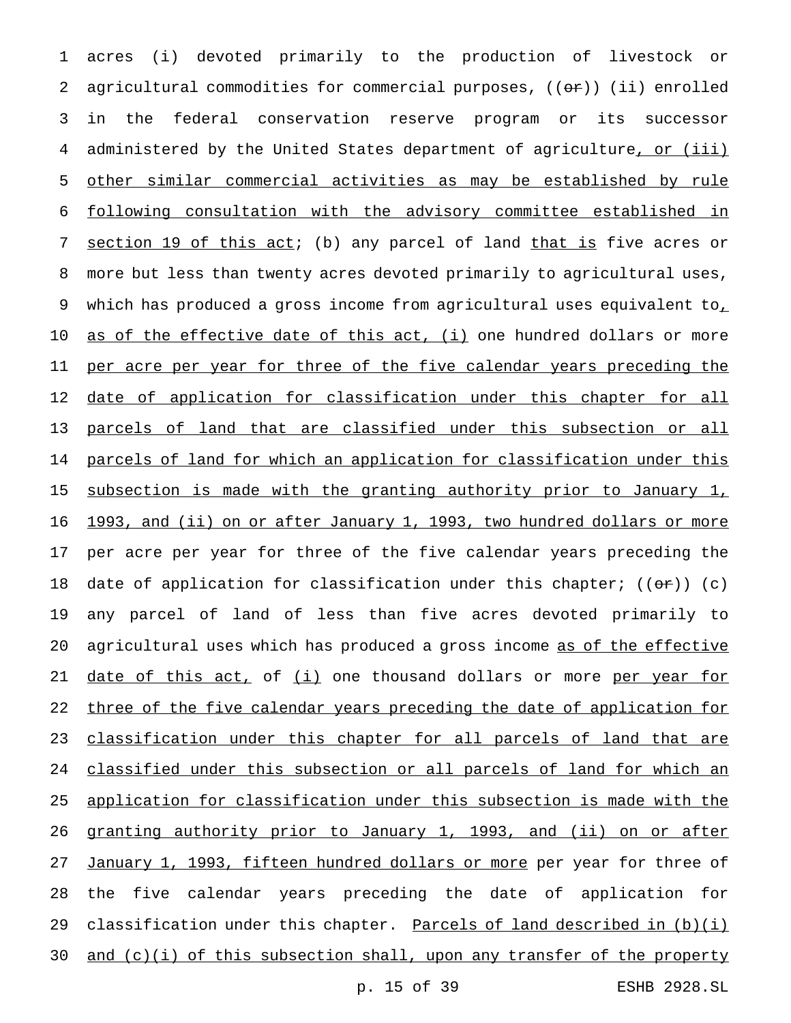1 acres (i) devoted primarily to the production of livestock or 2 agricultural commodities for commercial purposes,  $((\theta \cdot \tau))$  (ii) enrolled 3 in the federal conservation reserve program or its successor 4 administered by the United States department of agriculture, or (iii) 5 other similar commercial activities as may be established by rule 6 following consultation with the advisory committee established in 7 section 19 of this act; (b) any parcel of land that is five acres or 8 more but less than twenty acres devoted primarily to agricultural uses, 9 which has produced a gross income from agricultural uses equivalent to<sub>1</sub> 10 as of the effective date of this act, (i) one hundred dollars or more 11 per acre per year for three of the five calendar years preceding the 12 date of application for classification under this chapter for all 13 parcels of land that are classified under this subsection or all 14 parcels of land for which an application for classification under this 15 subsection is made with the granting authority prior to January 1, 16 1993, and (ii) on or after January 1, 1993, two hundred dollars or more 17 per acre per year for three of the five calendar years preceding the 18 date of application for classification under this chapter;  $((\theta \cdot \mathbf{r}))$  (c) 19 any parcel of land of less than five acres devoted primarily to 20 agricultural uses which has produced a gross income as of the effective 21 date of this act, of (i) one thousand dollars or more per year for 22 three of the five calendar years preceding the date of application for 23 classification under this chapter for all parcels of land that are 24 classified under this subsection or all parcels of land for which an 25 application for classification under this subsection is made with the 26 granting authority prior to January 1, 1993, and (ii) on or after 27 January 1, 1993, fifteen hundred dollars or more per year for three of 28 the five calendar years preceding the date of application for 29 classification under this chapter. Parcels of land described in (b)(i) 30 and (c)(i) of this subsection shall, upon any transfer of the property

p. 15 of 39 ESHB 2928.SL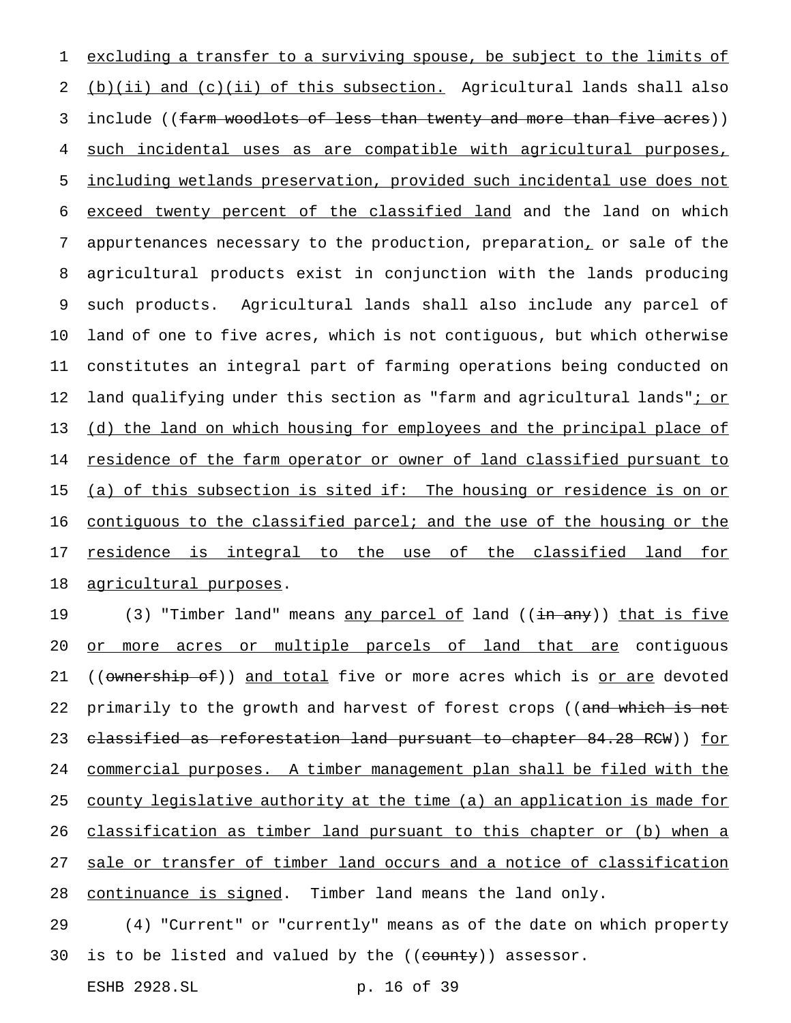excluding a transfer to a surviving spouse, be subject to the limits of (b)(ii) and (c)(ii) of this subsection. Agricultural lands shall also 3 include ((farm woodlots of less than twenty and more than five acres)) such incidental uses as are compatible with agricultural purposes, including wetlands preservation, provided such incidental use does not exceed twenty percent of the classified land and the land on which appurtenances necessary to the production, preparation, or sale of the agricultural products exist in conjunction with the lands producing such products. Agricultural lands shall also include any parcel of land of one to five acres, which is not contiguous, but which otherwise constitutes an integral part of farming operations being conducted on 12 land qualifying under this section as "farm and agricultural lands"<u>; or</u> 13 (d) the land on which housing for employees and the principal place of 14 residence of the farm operator or owner of land classified pursuant to 15 (a) of this subsection is sited if: The housing or residence is on or 16 contiguous to the classified parcel; and the use of the housing or the 17 residence is integral to the use of the classified land for agricultural purposes.

19 (3) "Timber land" means <u>any parcel of</u> land ((<del>in any</del>)) <u>that is five</u> 20 or more acres or multiple parcels of land that are contiguous 21 ((ownership of)) and total five or more acres which is or are devoted 22 primarily to the growth and harvest of forest crops ((and which is not 23 classified as reforestation land pursuant to chapter 84.28 RCW)) for 24 commercial purposes. A timber management plan shall be filed with the 25 county legislative authority at the time (a) an application is made for 26 classification as timber land pursuant to this chapter or (b) when a 27 sale or transfer of timber land occurs and a notice of classification 28 continuance is signed. Timber land means the land only.

29 (4) "Current" or "currently" means as of the date on which property 30 is to be listed and valued by the  $((\text{county}))$  assessor.

ESHB 2928.SL p. 16 of 39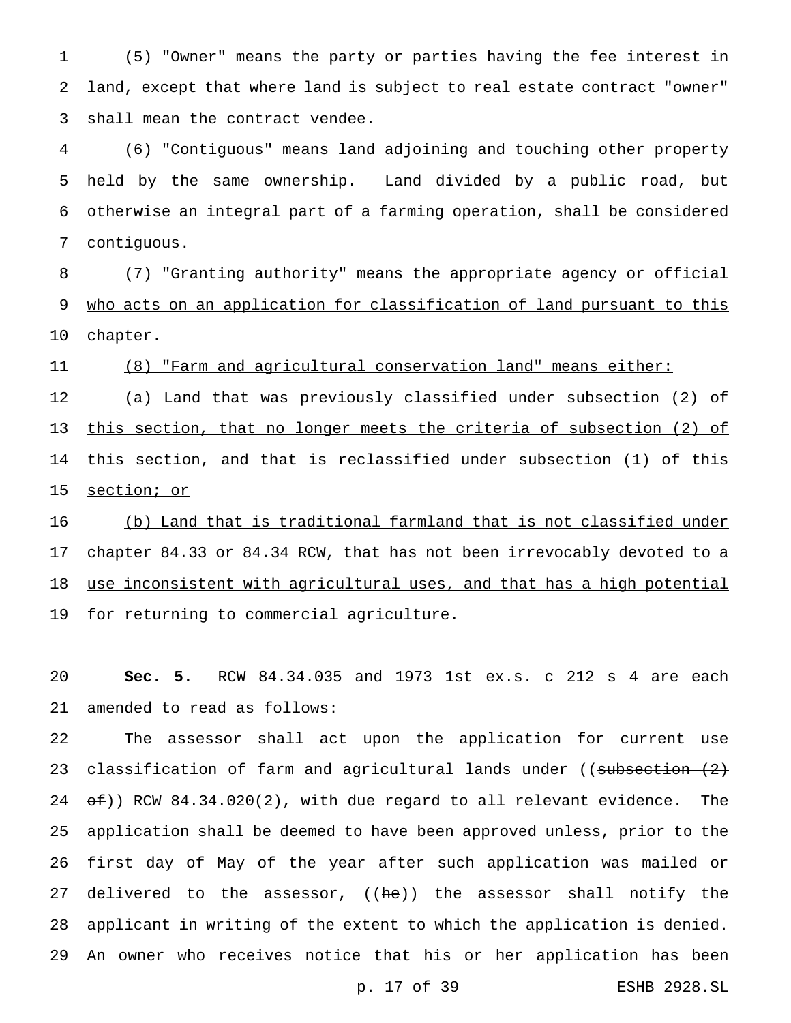(5) "Owner" means the party or parties having the fee interest in land, except that where land is subject to real estate contract "owner" shall mean the contract vendee.

 (6) "Contiguous" means land adjoining and touching other property held by the same ownership. Land divided by a public road, but otherwise an integral part of a farming operation, shall be considered contiguous.

 (7) "Granting authority" means the appropriate agency or official 9 who acts on an application for classification of land pursuant to this 10 chapter.

(8) "Farm and agricultural conservation land" means either:

 (a) Land that was previously classified under subsection (2) of 13 this section, that no longer meets the criteria of subsection (2) of this section, and that is reclassified under subsection (1) of this section; or

 (b) Land that is traditional farmland that is not classified under 17 chapter 84.33 or 84.34 RCW, that has not been irrevocably devoted to a 18 use inconsistent with agricultural uses, and that has a high potential 19 for returning to commercial agriculture.

 **Sec. 5.** RCW 84.34.035 and 1973 1st ex.s. c 212 s 4 are each amended to read as follows:

 The assessor shall act upon the application for current use 23 classification of farm and agricultural lands under  $($  subsection  $(2)$  $\Theta$  $($   $\Theta$ )) RCW 84.34.020(2), with due regard to all relevant evidence. The application shall be deemed to have been approved unless, prior to the first day of May of the year after such application was mailed or 27 delivered to the assessor, ((he)) the assessor shall notify the applicant in writing of the extent to which the application is denied. 29 An owner who receives notice that his or her application has been

p. 17 of 39 ESHB 2928.SL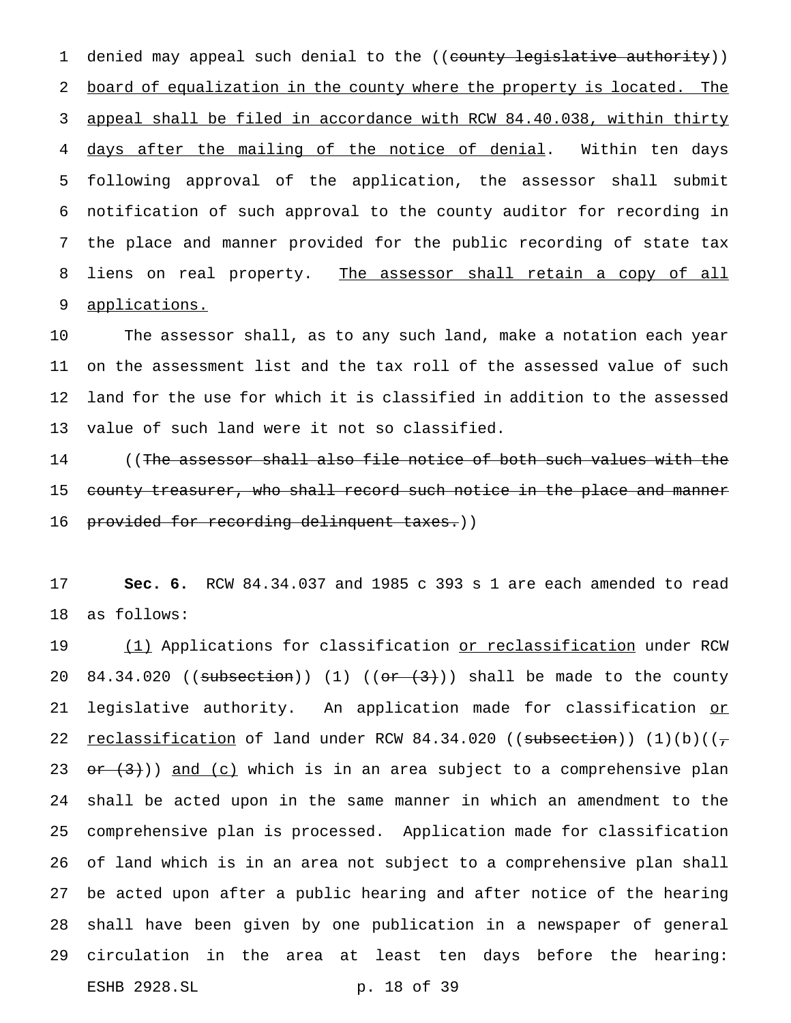1 denied may appeal such denial to the ((county legislative authority)) 2 board of equalization in the county where the property is located. The 3 appeal shall be filed in accordance with RCW 84.40.038, within thirty 4 days after the mailing of the notice of denial. Within ten days 5 following approval of the application, the assessor shall submit 6 notification of such approval to the county auditor for recording in 7 the place and manner provided for the public recording of state tax 8 liens on real property. The assessor shall retain a copy of all 9 applications.

 The assessor shall, as to any such land, make a notation each year on the assessment list and the tax roll of the assessed value of such land for the use for which it is classified in addition to the assessed value of such land were it not so classified.

14 ((The assessor shall also file notice of both such values with the 15 county treasurer, who shall record such notice in the place and manner 16 provided for recording delinquent taxes.))

17 **Sec. 6.** RCW 84.34.037 and 1985 c 393 s 1 are each amended to read 18 as follows:

19 (1) Applications for classification or reclassification under RCW 20 84.34.020 ((subsection)) (1) (( $or$   $(3)$ )) shall be made to the county 21 legislative authority. An application made for classification or 22 reclassification of land under RCW 84.34.020 ((subsection))  $(1)(b)((\tau)$ 23  $\sigma$   $\rightarrow$  (3))) and (c) which is in an area subject to a comprehensive plan 24 shall be acted upon in the same manner in which an amendment to the 25 comprehensive plan is processed. Application made for classification 26 of land which is in an area not subject to a comprehensive plan shall 27 be acted upon after a public hearing and after notice of the hearing 28 shall have been given by one publication in a newspaper of general 29 circulation in the area at least ten days before the hearing: ESHB 2928.SL p. 18 of 39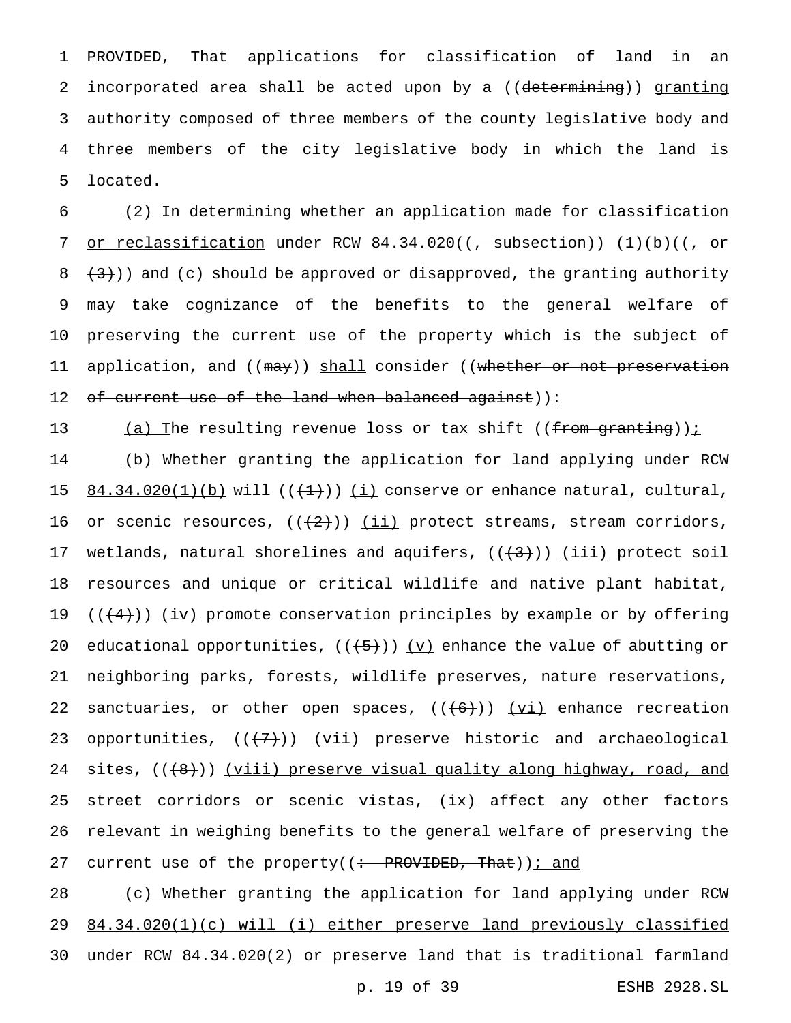PROVIDED, That applications for classification of land in an incorporated area shall be acted upon by a ((determining)) granting authority composed of three members of the county legislative body and three members of the city legislative body in which the land is 5 located.

6 (2) In determining whether an application made for classification 7 or reclassification under RCW  $84.34.020$  ((, subsection)) (1)(b)((, or 8  $(3)$ )) and (c) should be approved or disapproved, the granting authority 9 may take cognizance of the benefits to the general welfare of 10 preserving the current use of the property which is the subject of 11 application, and ((may)) shall consider ((whether or not preservation 12 of current use of the land when balanced against)):

13 (a) The resulting revenue loss or tax shift ((from granting));

14 (b) Whether granting the application for land applying under RCW 15  $84.34.020(1)(b)$  will  $((+1))$  (i) conserve or enhance natural, cultural, 16 or scenic resources,  $((+2))$   $(iii)$  protect streams, stream corridors, 17 wetlands, natural shorelines and aquifers,  $((+3))$  (iii) protect soil 18 resources and unique or critical wildlife and native plant habitat, 19  $((+4))$  (iv) promote conservation principles by example or by offering 20 educational opportunities,  $((+5))$   $(v)$  enhance the value of abutting or 21 neighboring parks, forests, wildlife preserves, nature reservations, 22 sanctuaries, or other open spaces,  $((+6))$   $(vi)$  enhance recreation 23 opportunities,  $((+7))$   $(vii)$  preserve historic and archaeological 24 sites,  $((+8))$  (viii) preserve visual quality along highway, road, and 25 street corridors or scenic vistas, (ix) affect any other factors 26 relevant in weighing benefits to the general welfare of preserving the 27 current use of the property( $\left(\div\right)$ PROVIDED, That)); and

28 (c) Whether granting the application for land applying under RCW 29 84.34.020(1)(c) will (i) either preserve land previously classified 30 under RCW 84.34.020(2) or preserve land that is traditional farmland

p. 19 of 39 ESHB 2928.SL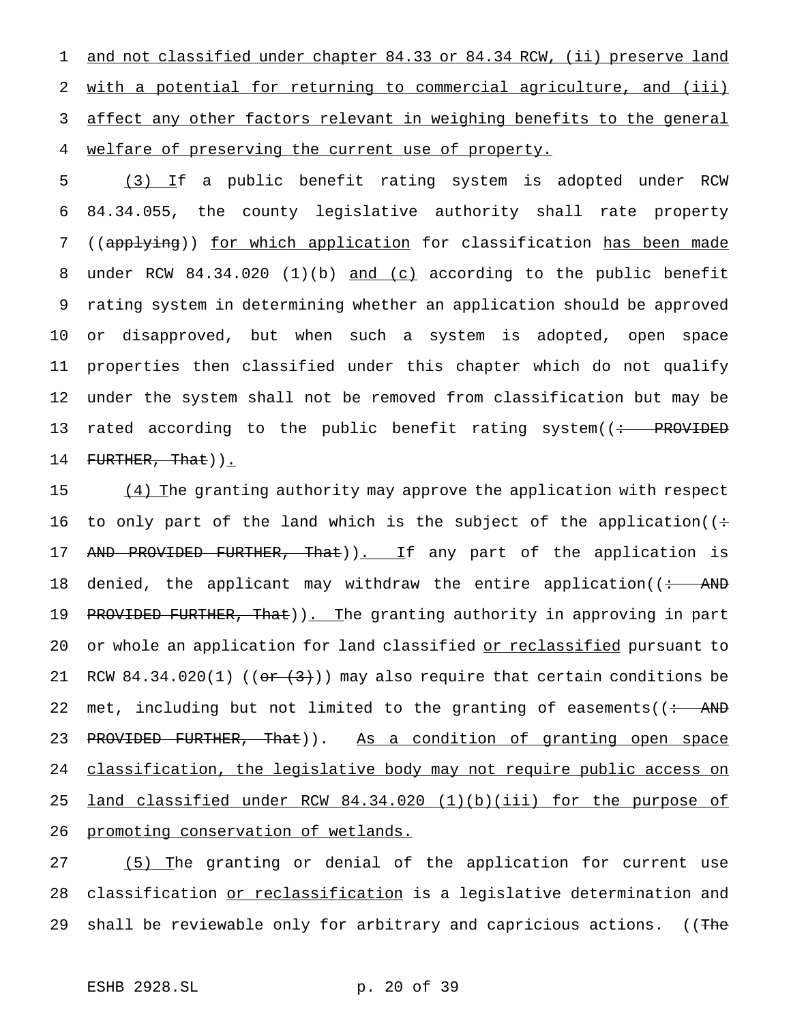1 and not classified under chapter 84.33 or 84.34 RCW, (ii) preserve land 2 with a potential for returning to commercial agriculture, and (iii) 3 affect any other factors relevant in weighing benefits to the general 4 welfare of preserving the current use of property.

 (3) If a public benefit rating system is adopted under RCW 84.34.055, the county legislative authority shall rate property 7 ((applying)) for which application for classification has been made under RCW 84.34.020 (1)(b) and (c) according to the public benefit rating system in determining whether an application should be approved or disapproved, but when such a system is adopted, open space properties then classified under this chapter which do not qualify under the system shall not be removed from classification but may be 13 rated according to the public benefit rating system((: PROVIDED 14 FURTHER, That)).

15 (4) The granting authority may approve the application with respect 16 to only part of the land which is the subject of the application( $($ : 17 AND PROVIDED FURTHER, That)). If any part of the application is 18 denied, the applicant may withdraw the entire application( $\frac{1}{10}$  AND 19 PROVIDED FURTHER, That)). The granting authority in approving in part 20 or whole an application for land classified or reclassified pursuant to 21 RCW 84.34.020(1) (( $\sigma$   $\rightarrow$   $(3)$ )) may also require that certain conditions be 22 met, including but not limited to the granting of easements( $\left($  : AND 23 PROVIDED FURTHER, That)). As a condition of granting open space 24 classification, the legislative body may not require public access on 25 land classified under RCW 84.34.020 (1)(b)(iii) for the purpose of 26 promoting conservation of wetlands.

27 (5) The granting or denial of the application for current use 28 classification or reclassification is a legislative determination and 29 shall be reviewable only for arbitrary and capricious actions. ((The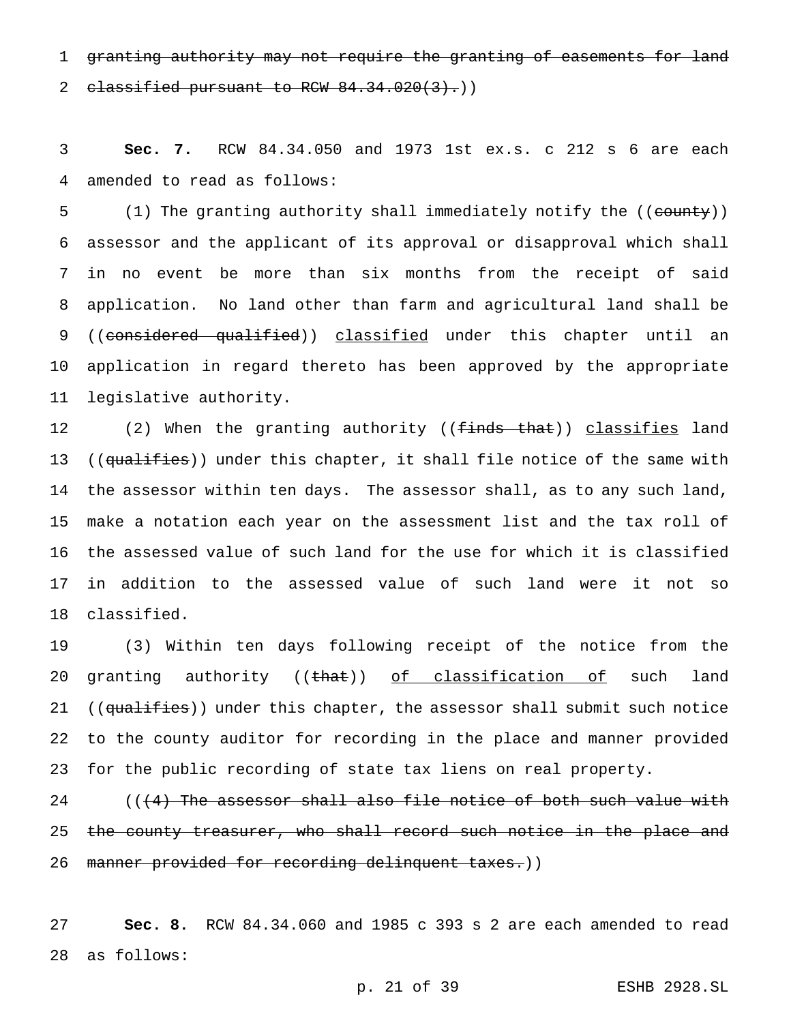1 granting authority may not require the granting of easements for land 2 classified pursuant to RCW  $84.34.020(3)$ .)

 **Sec. 7.** RCW 84.34.050 and 1973 1st ex.s. c 212 s 6 are each amended to read as follows:

5 (1) The granting authority shall immediately notify the ((county)) assessor and the applicant of its approval or disapproval which shall in no event be more than six months from the receipt of said application. No land other than farm and agricultural land shall be 9 ((considered qualified)) classified under this chapter until an application in regard thereto has been approved by the appropriate legislative authority.

12 (2) When the granting authority ((finds that)) classifies land 13 ((qualifies)) under this chapter, it shall file notice of the same with the assessor within ten days. The assessor shall, as to any such land, make a notation each year on the assessment list and the tax roll of the assessed value of such land for the use for which it is classified in addition to the assessed value of such land were it not so classified.

 (3) Within ten days following receipt of the notice from the 20 granting authority  $((that) )$  of classification of such land 21 ((qualifies)) under this chapter, the assessor shall submit such notice to the county auditor for recording in the place and manner provided for the public recording of state tax liens on real property.

 $($   $($   $($   $\frac{4}{2}$  The assessor shall also file notice of both such value with 25 the county treasurer, who shall record such notice in the place and 26 manner provided for recording delinquent taxes.))

 **Sec. 8.** RCW 84.34.060 and 1985 c 393 s 2 are each amended to read as follows: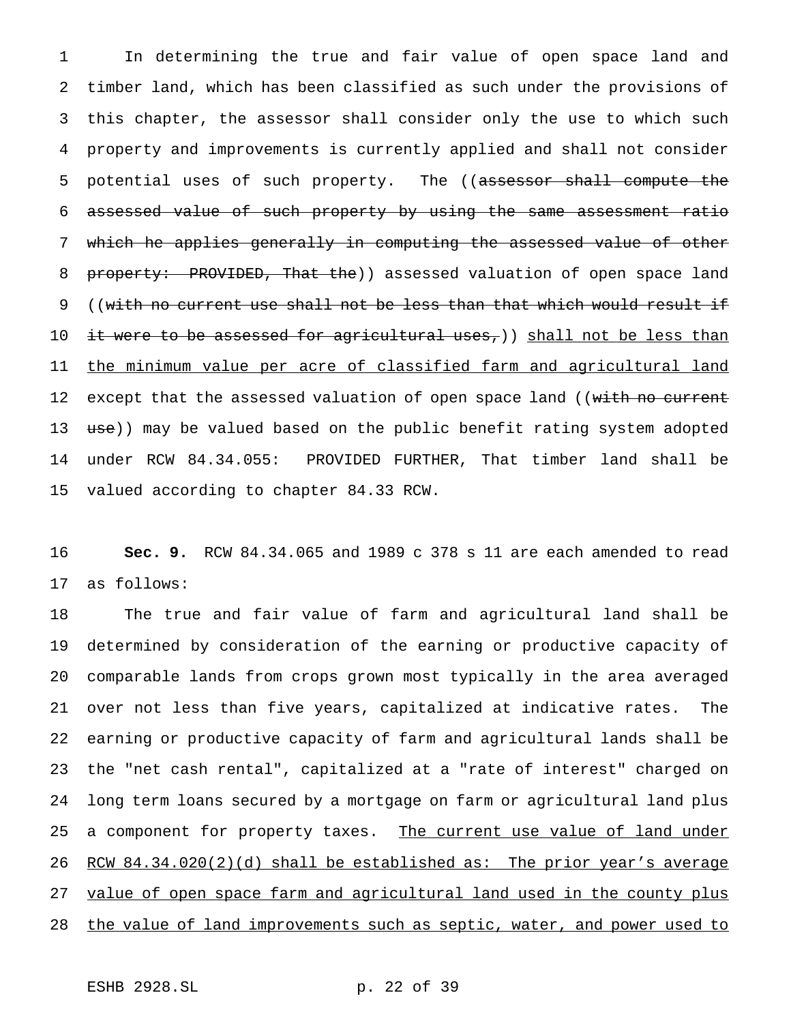In determining the true and fair value of open space land and timber land, which has been classified as such under the provisions of this chapter, the assessor shall consider only the use to which such property and improvements is currently applied and shall not consider 5 potential uses of such property. The ((assessor shall compute the assessed value of such property by using the same assessment ratio which he applies generally in computing the assessed value of other 8 property: PROVIDED, That the) assessed valuation of open space land ((with no current use shall not be less than that which would result if 10 it were to be assessed for agricultural uses,)) shall not be less than the minimum value per acre of classified farm and agricultural land 12 except that the assessed valuation of open space land ((with no current 13 use)) may be valued based on the public benefit rating system adopted under RCW 84.34.055: PROVIDED FURTHER, That timber land shall be valued according to chapter 84.33 RCW.

 **Sec. 9.** RCW 84.34.065 and 1989 c 378 s 11 are each amended to read as follows:

 The true and fair value of farm and agricultural land shall be determined by consideration of the earning or productive capacity of comparable lands from crops grown most typically in the area averaged over not less than five years, capitalized at indicative rates. The earning or productive capacity of farm and agricultural lands shall be the "net cash rental", capitalized at a "rate of interest" charged on long term loans secured by a mortgage on farm or agricultural land plus 25 a component for property taxes. The current use value of land under 26 RCW 84.34.020(2)(d) shall be established as: The prior year's average 27 value of open space farm and agricultural land used in the county plus 28 the value of land improvements such as septic, water, and power used to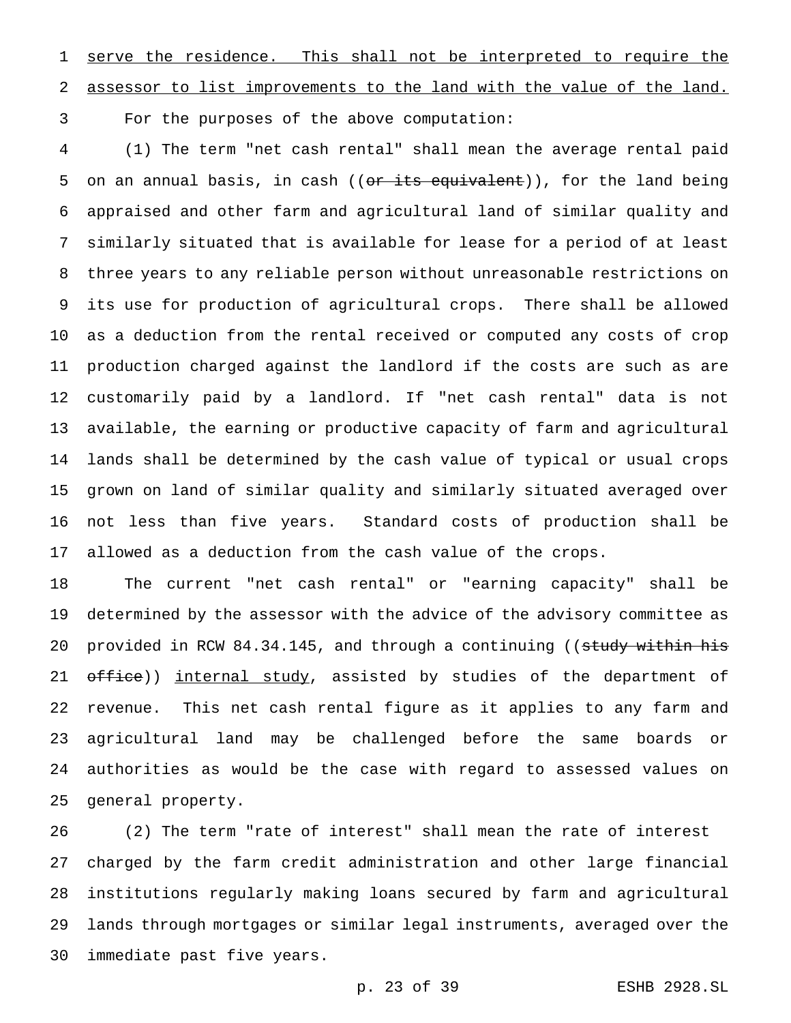1 serve the residence. This shall not be interpreted to require the assessor to list improvements to the land with the value of the land.

For the purposes of the above computation:

 (1) The term "net cash rental" shall mean the average rental paid 5 on an annual basis, in cash ((<del>or its equivalent</del>)), for the land being appraised and other farm and agricultural land of similar quality and similarly situated that is available for lease for a period of at least three years to any reliable person without unreasonable restrictions on its use for production of agricultural crops. There shall be allowed as a deduction from the rental received or computed any costs of crop production charged against the landlord if the costs are such as are customarily paid by a landlord. If "net cash rental" data is not available, the earning or productive capacity of farm and agricultural lands shall be determined by the cash value of typical or usual crops grown on land of similar quality and similarly situated averaged over not less than five years. Standard costs of production shall be allowed as a deduction from the cash value of the crops.

 The current "net cash rental" or "earning capacity" shall be determined by the assessor with the advice of the advisory committee as 20 provided in RCW 84.34.145, and through a continuing ((study within his 21 office)) internal study, assisted by studies of the department of revenue. This net cash rental figure as it applies to any farm and agricultural land may be challenged before the same boards or authorities as would be the case with regard to assessed values on general property.

 (2) The term "rate of interest" shall mean the rate of interest charged by the farm credit administration and other large financial institutions regularly making loans secured by farm and agricultural lands through mortgages or similar legal instruments, averaged over the immediate past five years.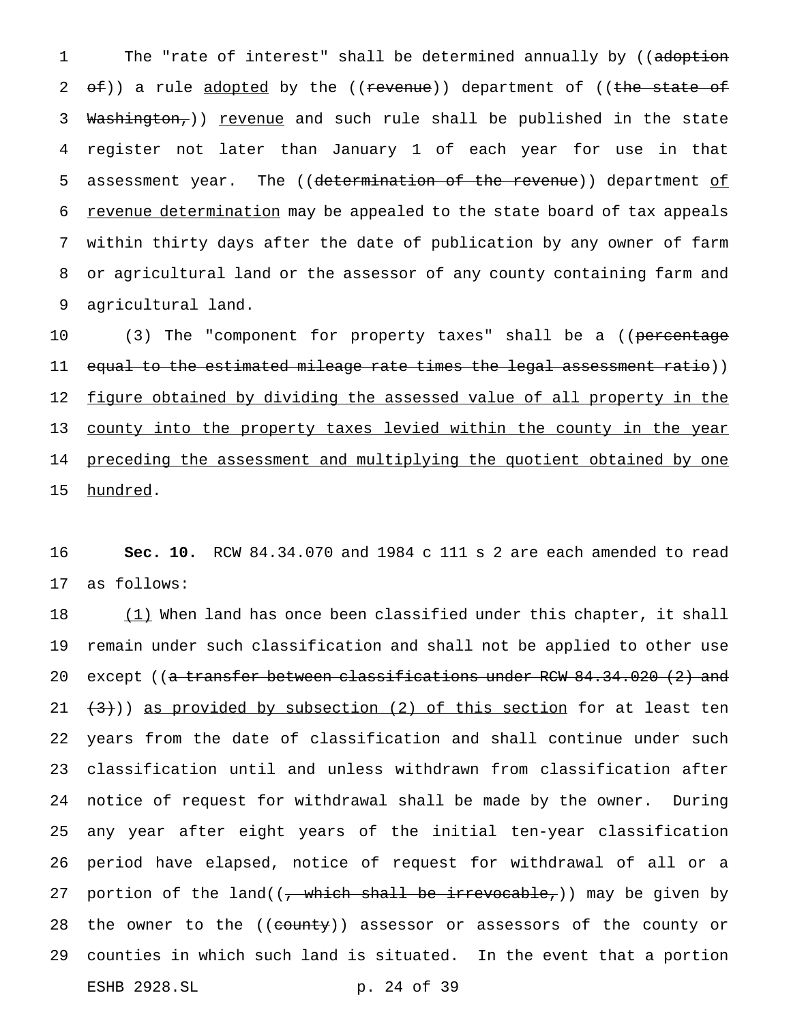1 The "rate of interest" shall be determined annually by ((adoption 2 <del>of</del>)) a rule adopted by the ((revenue)) department of ((the state of 3 Washington,)) revenue and such rule shall be published in the state 4 register not later than January 1 of each year for use in that 5 assessment year. The ((determination of the revenue)) department of 6 revenue determination may be appealed to the state board of tax appeals 7 within thirty days after the date of publication by any owner of farm 8 or agricultural land or the assessor of any county containing farm and 9 agricultural land.

10 (3) The "component for property taxes" shall be a ((percentage 11 e<del>qual to the estimated mileage rate times the legal assessment ratio</del>)) 12 figure obtained by dividing the assessed value of all property in the 13 county into the property taxes levied within the county in the year 14 preceding the assessment and multiplying the quotient obtained by one 15 hundred.

16 **Sec. 10.** RCW 84.34.070 and 1984 c 111 s 2 are each amended to read 17 as follows:

 $(1)$  When land has once been classified under this chapter, it shall remain under such classification and shall not be applied to other use 20 except ((<del>a transfer between classifications under RCW 84.34.020 (2) and</del>  $(3)$ )) as provided by subsection (2) of this section for at least ten years from the date of classification and shall continue under such classification until and unless withdrawn from classification after notice of request for withdrawal shall be made by the owner. During any year after eight years of the initial ten-year classification period have elapsed, notice of request for withdrawal of all or a 27 portion of the land( $(-$  which shall be irrevocable,)) may be given by 28 the owner to the ((county)) assessor or assessors of the county or counties in which such land is situated. In the event that a portion ESHB 2928.SL p. 24 of 39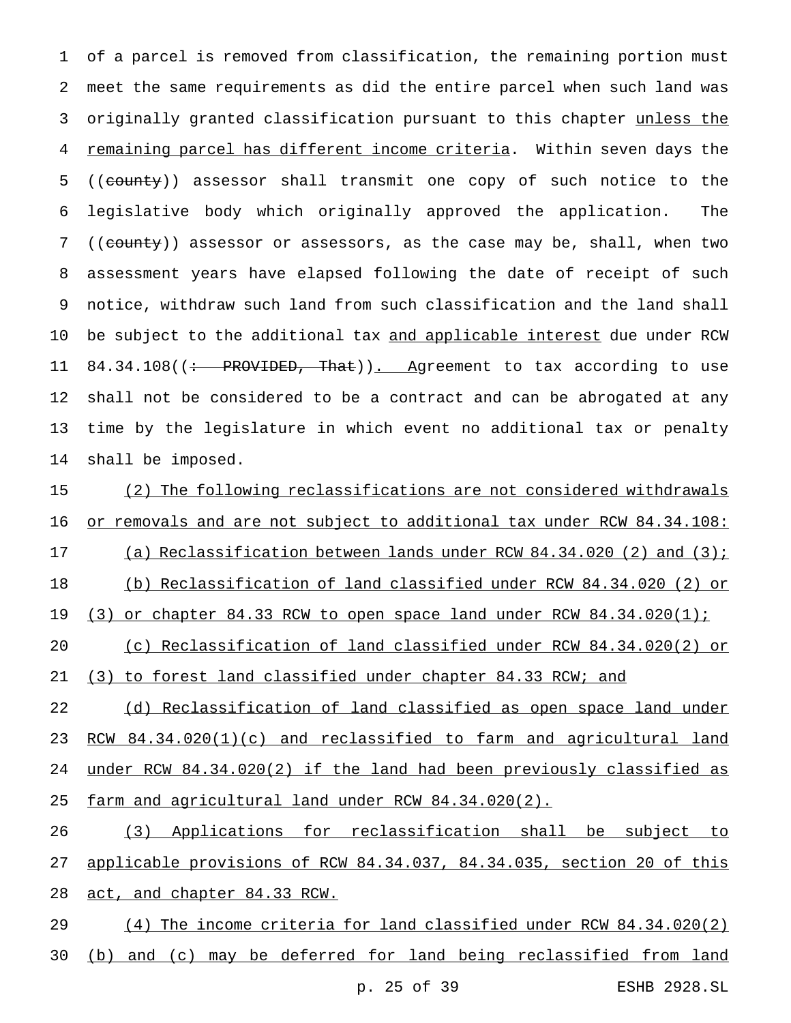of a parcel is removed from classification, the remaining portion must meet the same requirements as did the entire parcel when such land was 3 originally granted classification pursuant to this chapter unless the remaining parcel has different income criteria. Within seven days the 5 ((county)) assessor shall transmit one copy of such notice to the legislative body which originally approved the application. The 7 ((county)) assessor or assessors, as the case may be, shall, when two assessment years have elapsed following the date of receipt of such notice, withdraw such land from such classification and the land shall 10 be subject to the additional tax and applicable interest due under RCW 11 84.34.108((: PROVIDED, That)). Agreement to tax according to use shall not be considered to be a contract and can be abrogated at any time by the legislature in which event no additional tax or penalty shall be imposed.

 (2) The following reclassifications are not considered withdrawals or removals and are not subject to additional tax under RCW 84.34.108: (a) Reclassification between lands under RCW 84.34.020 (2) and (3); (b) Reclassification of land classified under RCW 84.34.020 (2) or 19 (3) or chapter 84.33 RCW to open space land under RCW 84.34.020(1);

 (c) Reclassification of land classified under RCW 84.34.020(2) or (3) to forest land classified under chapter 84.33 RCW; and

22 (d) Reclassification of land classified as open space land under 23 RCW 84.34.020(1)(c) and reclassified to farm and agricultural land under RCW 84.34.020(2) if the land had been previously classified as farm and agricultural land under RCW 84.34.020(2).

 (3) Applications for reclassification shall be subject to applicable provisions of RCW 84.34.037, 84.34.035, section 20 of this 28 act, and chapter 84.33 RCW.

 (4) The income criteria for land classified under RCW 84.34.020(2) 30 (b) and (c) may be deferred for land being reclassified from land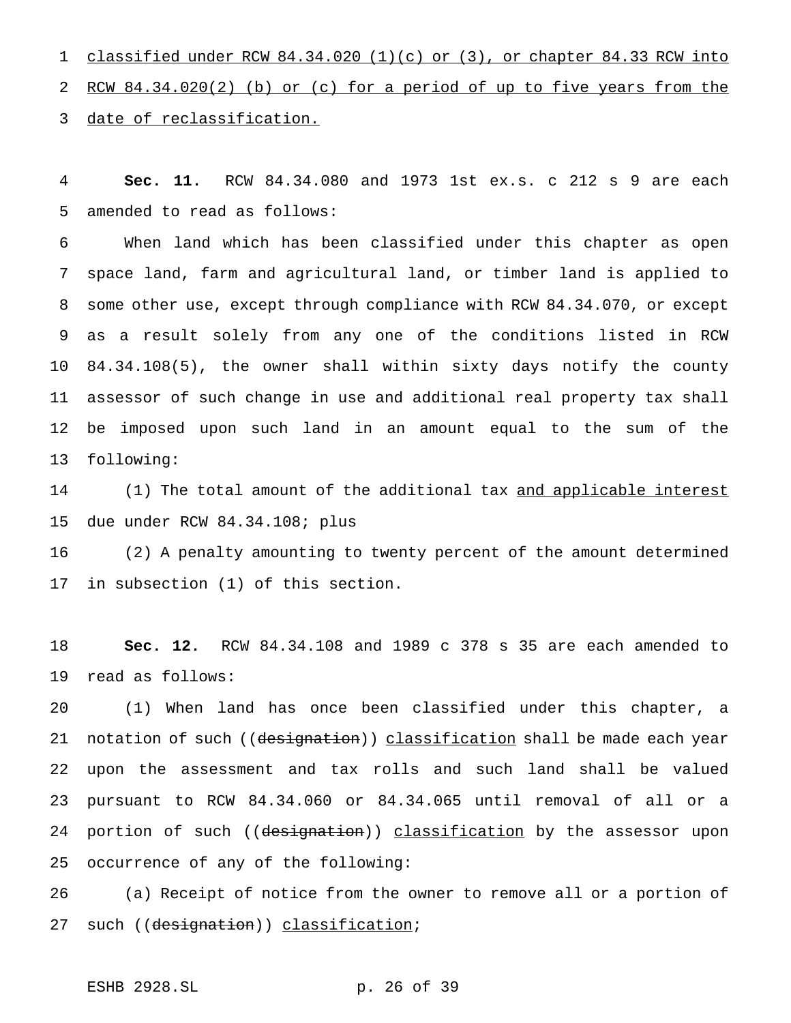classified under RCW 84.34.020 (1)(c) or (3), or chapter 84.33 RCW into RCW 84.34.020(2) (b) or (c) for a period of up to five years from the date of reclassification.

 **Sec. 11.** RCW 84.34.080 and 1973 1st ex.s. c 212 s 9 are each amended to read as follows:

 When land which has been classified under this chapter as open space land, farm and agricultural land, or timber land is applied to some other use, except through compliance with RCW 84.34.070, or except as a result solely from any one of the conditions listed in RCW 84.34.108(5), the owner shall within sixty days notify the county assessor of such change in use and additional real property tax shall be imposed upon such land in an amount equal to the sum of the following:

14 (1) The total amount of the additional tax and applicable interest due under RCW 84.34.108; plus

 (2) A penalty amounting to twenty percent of the amount determined in subsection (1) of this section.

 **Sec. 12.** RCW 84.34.108 and 1989 c 378 s 35 are each amended to read as follows:

 (1) When land has once been classified under this chapter, a 21 notation of such ((designation)) classification shall be made each year upon the assessment and tax rolls and such land shall be valued pursuant to RCW 84.34.060 or 84.34.065 until removal of all or a 24 portion of such ((designation)) classification by the assessor upon occurrence of any of the following:

 (a) Receipt of notice from the owner to remove all or a portion of 27 such ((designation)) classification;

# ESHB 2928.SL p. 26 of 39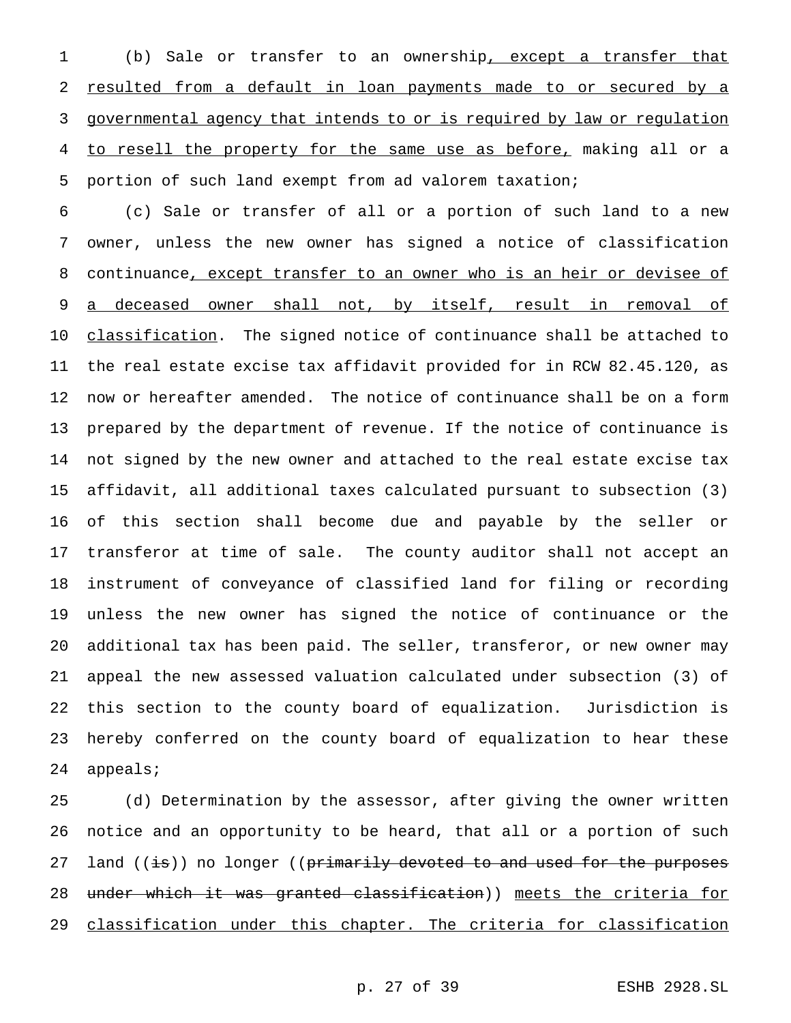(b) Sale or transfer to an ownership, except a transfer that 2 resulted from a default in loan payments made to or secured by a governmental agency that intends to or is required by law or regulation to resell the property for the same use as before, making all or a portion of such land exempt from ad valorem taxation;

 (c) Sale or transfer of all or a portion of such land to a new owner, unless the new owner has signed a notice of classification 8 continuance, except transfer to an owner who is an heir or devisee of 9 a deceased owner shall not, by itself, result in removal of 10 classification. The signed notice of continuance shall be attached to the real estate excise tax affidavit provided for in RCW 82.45.120, as now or hereafter amended. The notice of continuance shall be on a form prepared by the department of revenue. If the notice of continuance is not signed by the new owner and attached to the real estate excise tax affidavit, all additional taxes calculated pursuant to subsection (3) of this section shall become due and payable by the seller or transferor at time of sale. The county auditor shall not accept an instrument of conveyance of classified land for filing or recording unless the new owner has signed the notice of continuance or the additional tax has been paid. The seller, transferor, or new owner may appeal the new assessed valuation calculated under subsection (3) of this section to the county board of equalization. Jurisdiction is hereby conferred on the county board of equalization to hear these appeals;

 (d) Determination by the assessor, after giving the owner written notice and an opportunity to be heard, that all or a portion of such 27 land ((is)) no longer ((primarily devoted to and used for the purposes 28 <del>under which it was granted classification</del>)) meets the criteria for 29 classification under this chapter. The criteria for classification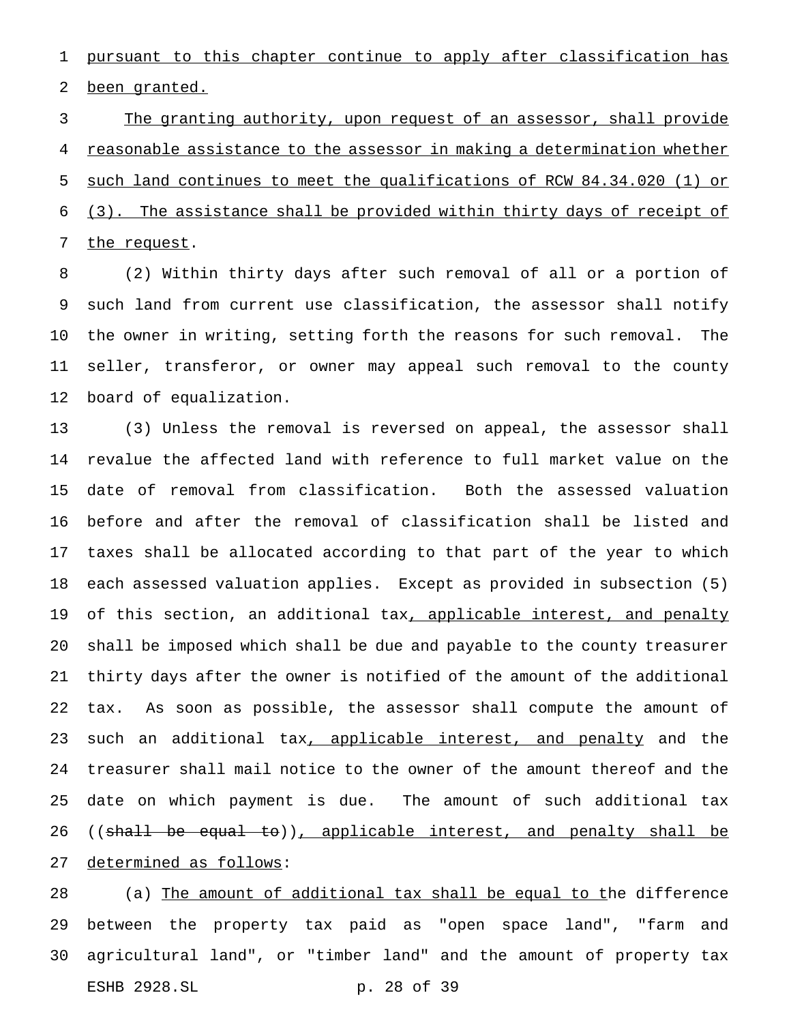pursuant to this chapter continue to apply after classification has 2 been granted.

 The granting authority, upon request of an assessor, shall provide reasonable assistance to the assessor in making a determination whether such land continues to meet the qualifications of RCW 84.34.020 (1) or (3). The assistance shall be provided within thirty days of receipt of 7 the request.

 (2) Within thirty days after such removal of all or a portion of such land from current use classification, the assessor shall notify the owner in writing, setting forth the reasons for such removal. The seller, transferor, or owner may appeal such removal to the county board of equalization.

 (3) Unless the removal is reversed on appeal, the assessor shall revalue the affected land with reference to full market value on the date of removal from classification. Both the assessed valuation before and after the removal of classification shall be listed and taxes shall be allocated according to that part of the year to which each assessed valuation applies. Except as provided in subsection (5) 19 of this section, an additional tax, applicable interest, and penalty shall be imposed which shall be due and payable to the county treasurer thirty days after the owner is notified of the amount of the additional tax. As soon as possible, the assessor shall compute the amount of 23 such an additional tax, applicable interest, and penalty and the treasurer shall mail notice to the owner of the amount thereof and the date on which payment is due. The amount of such additional tax 26 ((shall be equal to)), applicable interest, and penalty shall be determined as follows:

28 (a) The amount of additional tax shall be equal to the difference between the property tax paid as "open space land", "farm and agricultural land", or "timber land" and the amount of property tax ESHB 2928.SL p. 28 of 39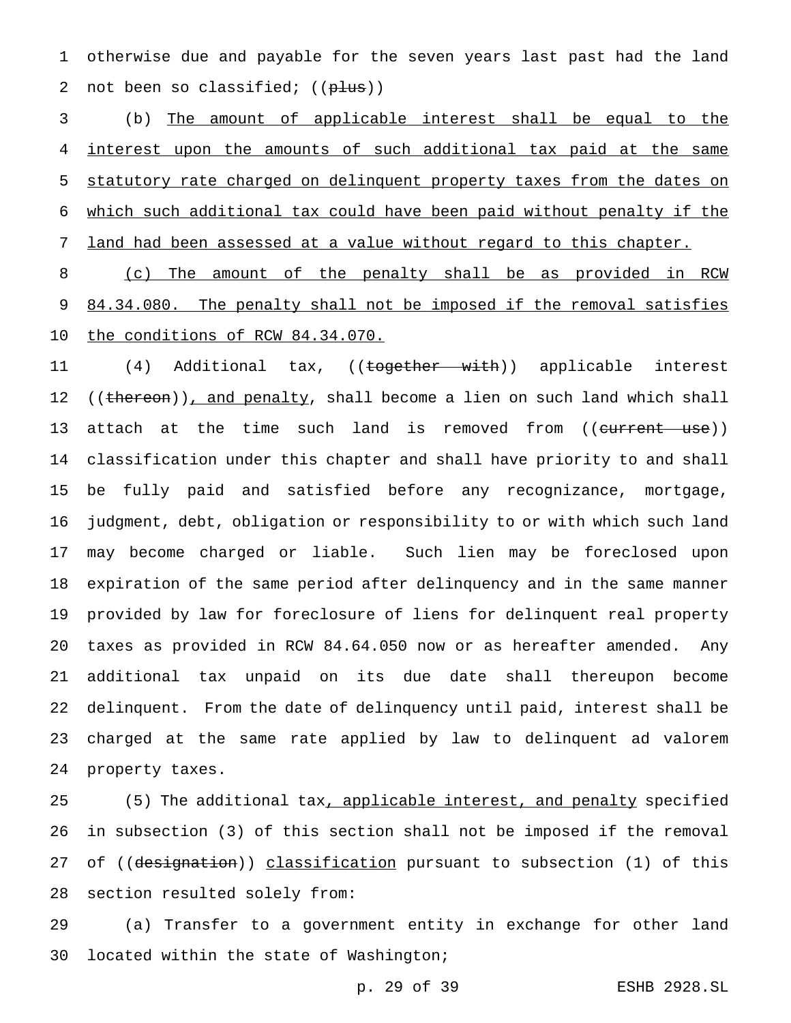otherwise due and payable for the seven years last past had the land 2 not been so classified;  $((\text{plus}))$ 

 (b) The amount of applicable interest shall be equal to the 4 interest upon the amounts of such additional tax paid at the same statutory rate charged on delinquent property taxes from the dates on which such additional tax could have been paid without penalty if the land had been assessed at a value without regard to this chapter.

 (c) The amount of the penalty shall be as provided in RCW 9 84.34.080. The penalty shall not be imposed if the removal satisfies 10 the conditions of RCW 84.34.070.

11 (4) Additional tax, ((<del>together with</del>)) applicable interest 12 ((thereon)), and penalty, shall become a lien on such land which shall 13 attach at the time such land is removed from ((current use)) classification under this chapter and shall have priority to and shall be fully paid and satisfied before any recognizance, mortgage, judgment, debt, obligation or responsibility to or with which such land may become charged or liable. Such lien may be foreclosed upon expiration of the same period after delinquency and in the same manner provided by law for foreclosure of liens for delinquent real property taxes as provided in RCW 84.64.050 now or as hereafter amended. Any additional tax unpaid on its due date shall thereupon become delinquent. From the date of delinquency until paid, interest shall be charged at the same rate applied by law to delinquent ad valorem property taxes.

25 (5) The additional tax, applicable interest, and penalty specified in subsection (3) of this section shall not be imposed if the removal 27 of ((designation)) classification pursuant to subsection (1) of this section resulted solely from:

 (a) Transfer to a government entity in exchange for other land located within the state of Washington;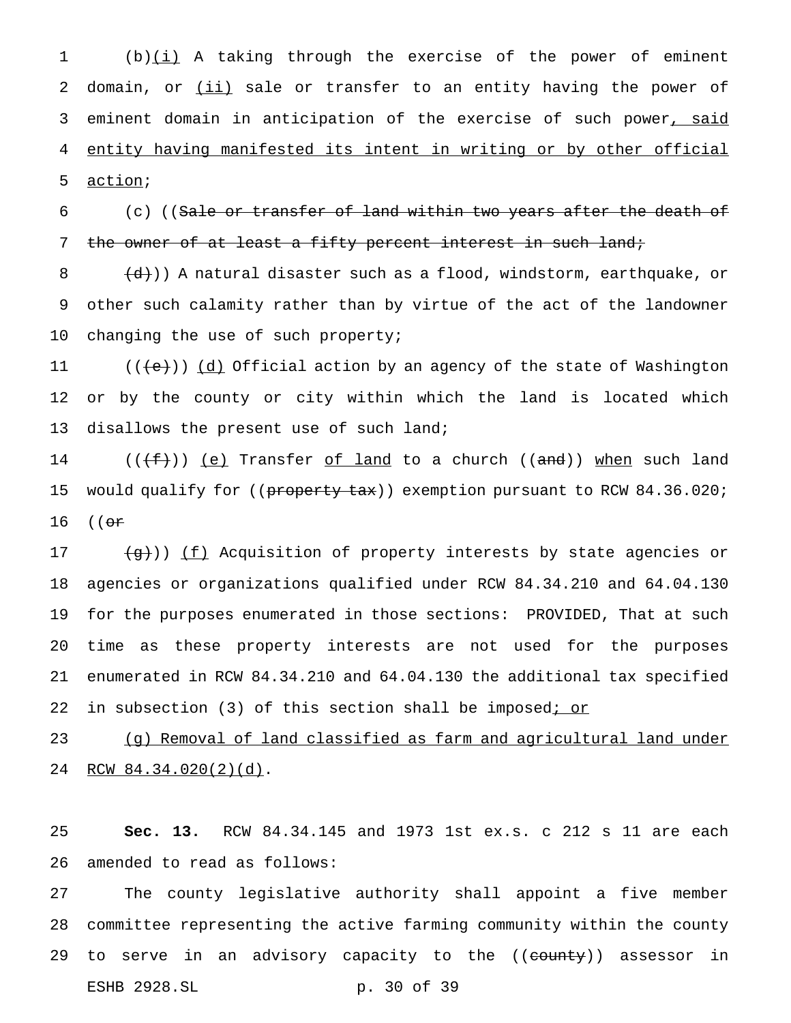1 (b)(i) A taking through the exercise of the power of eminent 2 domain, or (ii) sale or transfer to an entity having the power of 3 eminent domain in anticipation of the exercise of such power, said 4 entity having manifested its intent in writing or by other official 5 action;

6 (c) ((Sale or transfer of land within two years after the death of 7 the owner of at least a fifty percent interest in such land;

8  $(d)$ )) A natural disaster such as a flood, windstorm, earthquake, or 9 other such calamity rather than by virtue of the act of the landowner 10 changing the use of such property;

11  $((\{e\})\)$  (d) Official action by an agency of the state of Washington 12 or by the county or city within which the land is located which 13 disallows the present use of such land;

14 ( $(\{\pm\})$ ) <u>(e)</u> Transfer <u>of land</u> to a church ((and)) when such land 15 would qualify for ((property tax)) exemption pursuant to RCW 84.36.020; 16 ((or

 $(g)$ )) <u>(f)</u> Acquisition of property interests by state agencies or agencies or organizations qualified under RCW 84.34.210 and 64.04.130 for the purposes enumerated in those sections: PROVIDED, That at such time as these property interests are not used for the purposes enumerated in RCW 84.34.210 and 64.04.130 the additional tax specified 22 in subsection (3) of this section shall be imposed; or

23 (g) Removal of land classified as farm and agricultural land under 24 RCW 84.34.020(2)(d).

25 **Sec. 13.** RCW 84.34.145 and 1973 1st ex.s. c 212 s 11 are each 26 amended to read as follows:

27 The county legislative authority shall appoint a five member 28 committee representing the active farming community within the county 29 to serve in an advisory capacity to the ((county)) assessor in ESHB 2928.SL p. 30 of 39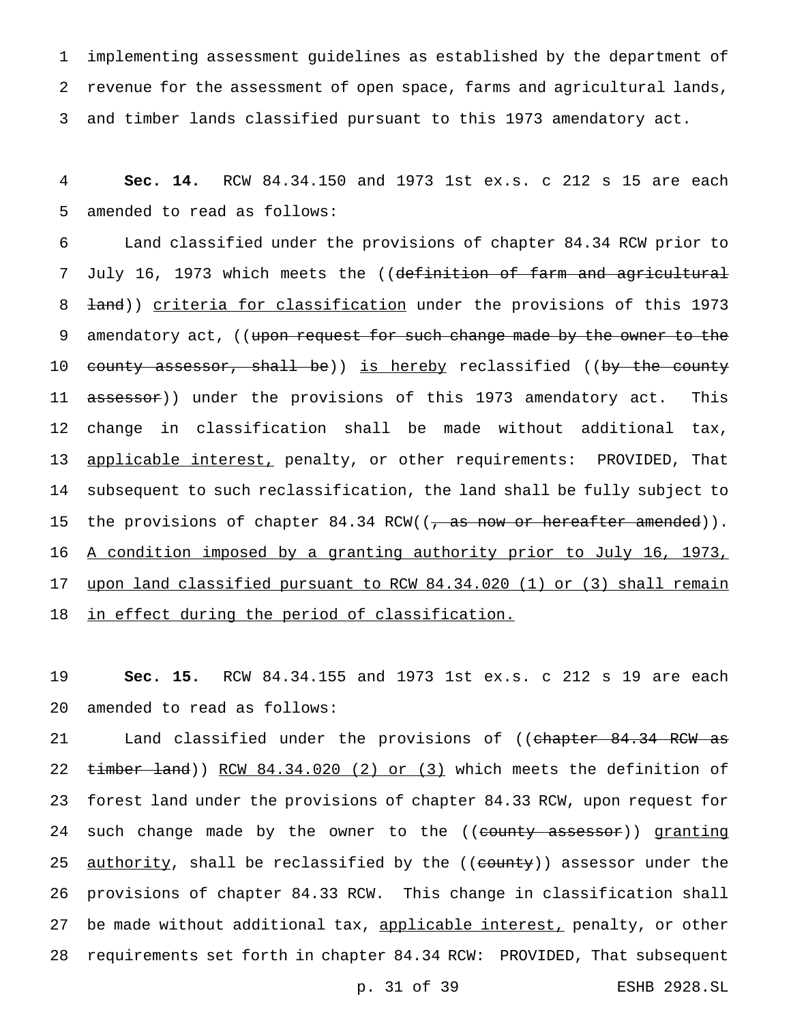1 implementing assessment guidelines as established by the department of 2 revenue for the assessment of open space, farms and agricultural lands, 3 and timber lands classified pursuant to this 1973 amendatory act.

4 **Sec. 14.** RCW 84.34.150 and 1973 1st ex.s. c 212 s 15 are each 5 amended to read as follows:

6 Land classified under the provisions of chapter 84.34 RCW prior to 7 July 16, 1973 which meets the ((definition of farm and agricultural 8 <del>land</del>)) criteria for classification under the provisions of this 1973 9 amendatory act, ((upon request for such change made by the owner to the 10 county assessor, shall be)) is hereby reclassified ((by the county 11 assessor)) under the provisions of this 1973 amendatory act. This 12 change in classification shall be made without additional tax, 13 applicable interest, penalty, or other requirements: PROVIDED, That 14 subsequent to such reclassification, the land shall be fully subject to 15 the provisions of chapter 84.34 RCW((<del>, as now or hereafter amended</del>)). 16 A condition imposed by a granting authority prior to July 16, 1973, 17 upon land classified pursuant to RCW 84.34.020 (1) or (3) shall remain 18 in effect during the period of classification.

19 **Sec. 15.** RCW 84.34.155 and 1973 1st ex.s. c 212 s 19 are each 20 amended to read as follows:

21 Land classified under the provisions of ((chapter 84.34 RCW as 22 timber land)) RCW 84.34.020 (2) or (3) which meets the definition of 23 forest land under the provisions of chapter 84.33 RCW, upon request for 24 such change made by the owner to the ((county assessor)) granting 25 <u>authority</u>, shall be reclassified by the ((county)) assessor under the 26 provisions of chapter 84.33 RCW. This change in classification shall 27 be made without additional tax, applicable interest, penalty, or other 28 requirements set forth in chapter 84.34 RCW: PROVIDED, That subsequent

p. 31 of 39 ESHB 2928.SL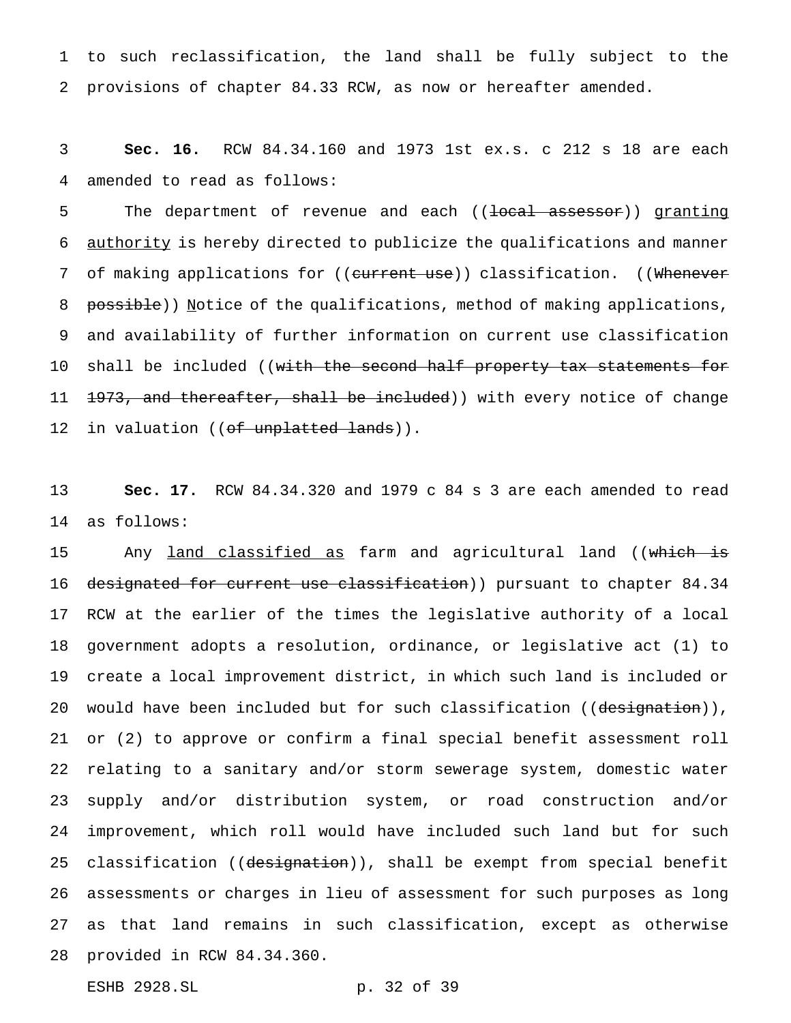to such reclassification, the land shall be fully subject to the provisions of chapter 84.33 RCW, as now or hereafter amended.

 **Sec. 16.** RCW 84.34.160 and 1973 1st ex.s. c 212 s 18 are each amended to read as follows:

5 The department of revenue and each ((local assessor)) granting authority is hereby directed to publicize the qualifications and manner 7 of making applications for ((current use)) classification. ((Whenever 8 possible)) Notice of the qualifications, method of making applications, and availability of further information on current use classification 10 shall be included ((with the second half property tax statements for 11 <del>1973, and thereafter, shall be included</del>)) with every notice of change 12 in valuation ((of unplatted lands)).

 **Sec. 17.** RCW 84.34.320 and 1979 c 84 s 3 are each amended to read as follows:

15 Any land classified as farm and agricultural land ((which is designated for current use classification)) pursuant to chapter 84.34 RCW at the earlier of the times the legislative authority of a local government adopts a resolution, ordinance, or legislative act (1) to create a local improvement district, in which such land is included or 20 would have been included but for such classification ((<del>designation</del>)), or (2) to approve or confirm a final special benefit assessment roll relating to a sanitary and/or storm sewerage system, domestic water supply and/or distribution system, or road construction and/or improvement, which roll would have included such land but for such 25 classification ((designation)), shall be exempt from special benefit assessments or charges in lieu of assessment for such purposes as long as that land remains in such classification, except as otherwise provided in RCW 84.34.360.

ESHB 2928.SL p. 32 of 39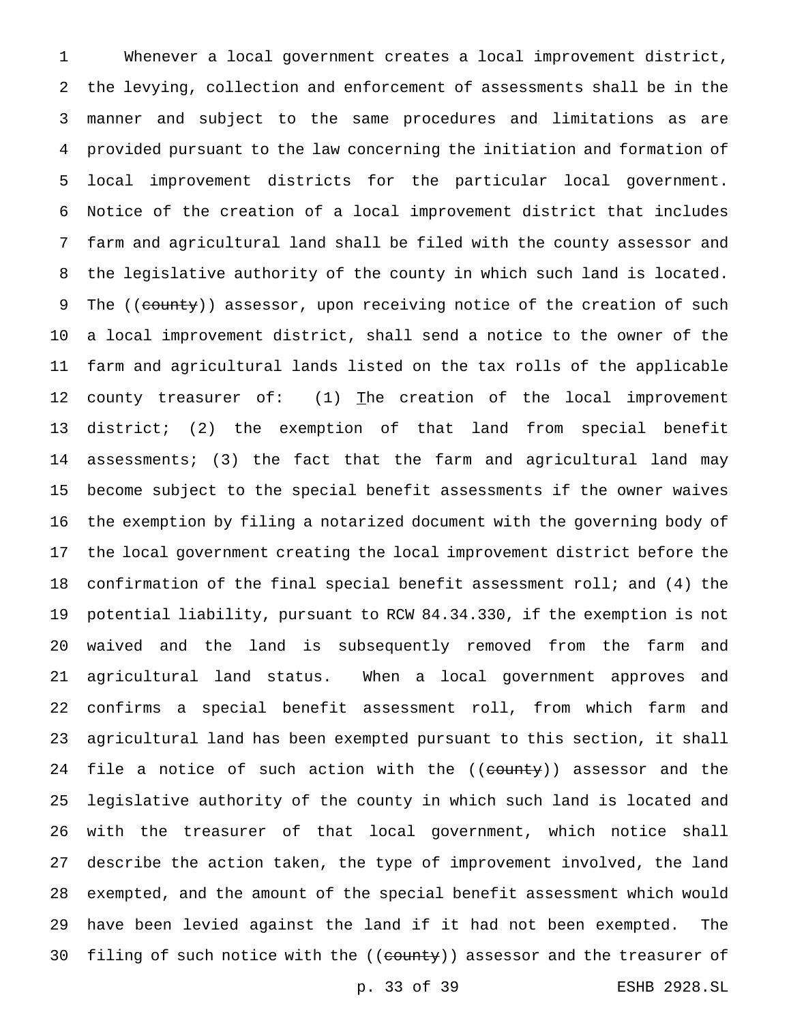Whenever a local government creates a local improvement district, the levying, collection and enforcement of assessments shall be in the manner and subject to the same procedures and limitations as are provided pursuant to the law concerning the initiation and formation of local improvement districts for the particular local government. Notice of the creation of a local improvement district that includes farm and agricultural land shall be filed with the county assessor and the legislative authority of the county in which such land is located. 9 The ((county)) assessor, upon receiving notice of the creation of such a local improvement district, shall send a notice to the owner of the farm and agricultural lands listed on the tax rolls of the applicable 12 county treasurer of:  $(1)$  The creation of the local improvement district; (2) the exemption of that land from special benefit assessments; (3) the fact that the farm and agricultural land may become subject to the special benefit assessments if the owner waives the exemption by filing a notarized document with the governing body of the local government creating the local improvement district before the confirmation of the final special benefit assessment roll; and (4) the potential liability, pursuant to RCW 84.34.330, if the exemption is not waived and the land is subsequently removed from the farm and agricultural land status. When a local government approves and confirms a special benefit assessment roll, from which farm and agricultural land has been exempted pursuant to this section, it shall 24 file a notice of such action with the ((county)) assessor and the legislative authority of the county in which such land is located and with the treasurer of that local government, which notice shall describe the action taken, the type of improvement involved, the land exempted, and the amount of the special benefit assessment which would have been levied against the land if it had not been exempted. The 30 filing of such notice with the ((county)) assessor and the treasurer of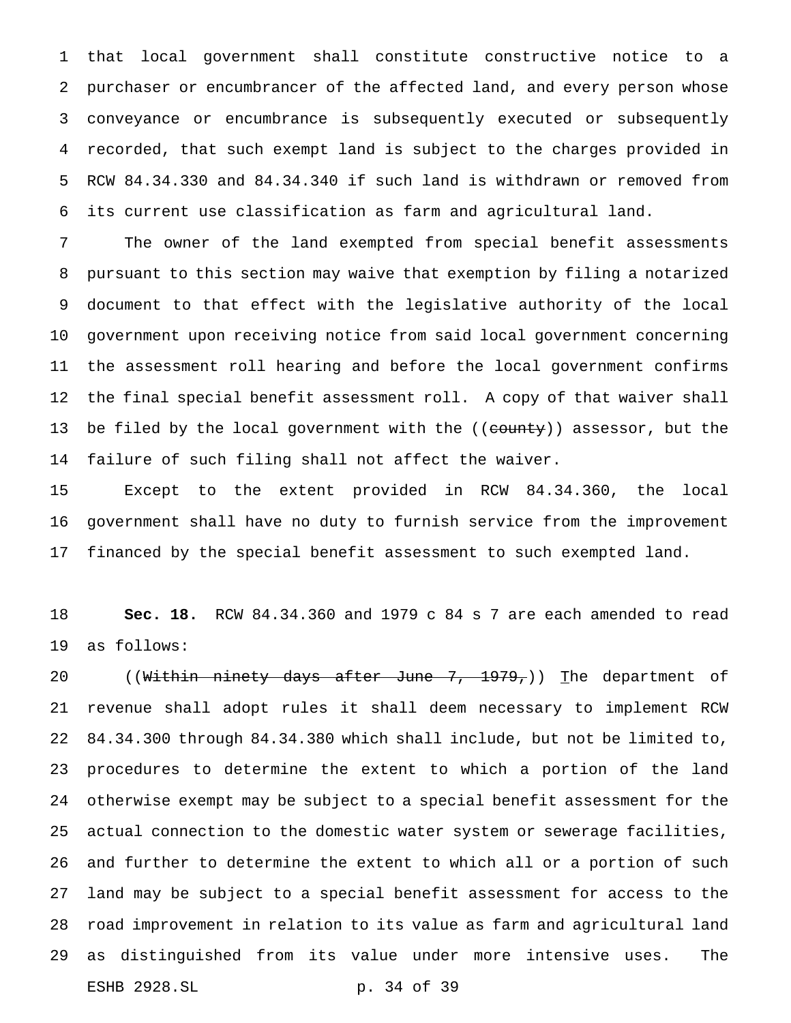that local government shall constitute constructive notice to a purchaser or encumbrancer of the affected land, and every person whose conveyance or encumbrance is subsequently executed or subsequently recorded, that such exempt land is subject to the charges provided in RCW 84.34.330 and 84.34.340 if such land is withdrawn or removed from its current use classification as farm and agricultural land.

 The owner of the land exempted from special benefit assessments pursuant to this section may waive that exemption by filing a notarized document to that effect with the legislative authority of the local government upon receiving notice from said local government concerning the assessment roll hearing and before the local government confirms the final special benefit assessment roll. A copy of that waiver shall 13 be filed by the local government with the ((county)) assessor, but the failure of such filing shall not affect the waiver.

 Except to the extent provided in RCW 84.34.360, the local government shall have no duty to furnish service from the improvement financed by the special benefit assessment to such exempted land.

 **Sec. 18.** RCW 84.34.360 and 1979 c 84 s 7 are each amended to read as follows:

20 ((Within ninety days after June 7, 1979,)) The department of revenue shall adopt rules it shall deem necessary to implement RCW 84.34.300 through 84.34.380 which shall include, but not be limited to, procedures to determine the extent to which a portion of the land otherwise exempt may be subject to a special benefit assessment for the actual connection to the domestic water system or sewerage facilities, and further to determine the extent to which all or a portion of such land may be subject to a special benefit assessment for access to the road improvement in relation to its value as farm and agricultural land as distinguished from its value under more intensive uses. The ESHB 2928.SL p. 34 of 39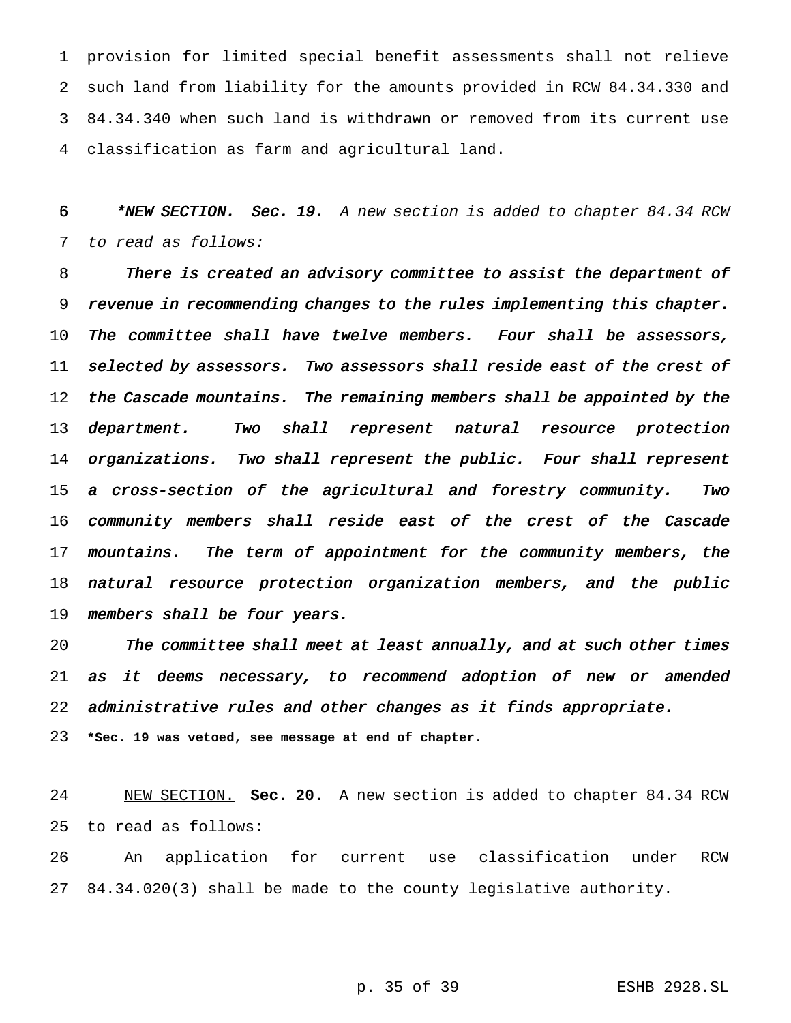provision for limited special benefit assessments shall not relieve such land from liability for the amounts provided in RCW 84.34.330 and 84.34.340 when such land is withdrawn or removed from its current use classification as farm and agricultural land.

5 \* NEW SECTION. Sec. 19. A new section is added to chapter 84.34 RCW to read as follows:

 There is created an advisory committee to assist the department of revenue in recommending changes to the rules implementing this chapter. 10 The committee shall have twelve members. Four shall be assessors, 11 selected by assessors. Two assessors shall reside east of the crest of 12 the Cascade mountains. The remaining members shall be appointed by the 13 department. Two shall represent natural resource protection 14 organizations. Two shall represent the public. Four shall represent <sup>a</sup> cross-section of the agricultural and forestry community. Two community members shall reside east of the crest of the Cascade 17 mountains. The term of appointment for the community members, the natural resource protection organization members, and the public 19 members shall be four years.

 The committee shall meet at least annually, and at such other times as it deems necessary, to recommend adoption of new or amended administrative rules and other changes as it finds appropriate.

**\*Sec. 19 was vetoed, see message at end of chapter.**

 NEW SECTION. **Sec. 20.** A new section is added to chapter 84.34 RCW to read as follows:

 An application for current use classification under RCW 84.34.020(3) shall be made to the county legislative authority.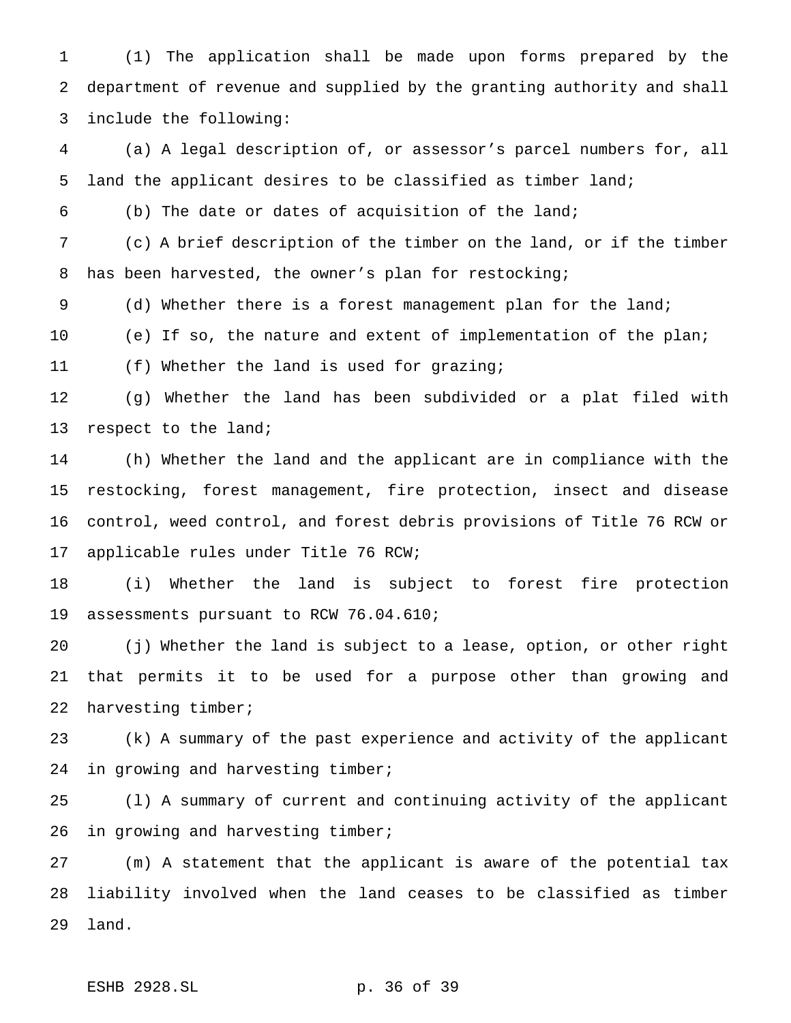(1) The application shall be made upon forms prepared by the department of revenue and supplied by the granting authority and shall include the following:

 (a) A legal description of, or assessor's parcel numbers for, all land the applicant desires to be classified as timber land;

(b) The date or dates of acquisition of the land;

 (c) A brief description of the timber on the land, or if the timber has been harvested, the owner's plan for restocking;

(d) Whether there is a forest management plan for the land;

(e) If so, the nature and extent of implementation of the plan;

(f) Whether the land is used for grazing;

 (g) Whether the land has been subdivided or a plat filed with 13 respect to the land;

 (h) Whether the land and the applicant are in compliance with the restocking, forest management, fire protection, insect and disease control, weed control, and forest debris provisions of Title 76 RCW or applicable rules under Title 76 RCW;

 (i) Whether the land is subject to forest fire protection assessments pursuant to RCW 76.04.610;

 (j) Whether the land is subject to a lease, option, or other right that permits it to be used for a purpose other than growing and harvesting timber;

 (k) A summary of the past experience and activity of the applicant 24 in growing and harvesting timber;

 (l) A summary of current and continuing activity of the applicant 26 in growing and harvesting timber;

 (m) A statement that the applicant is aware of the potential tax liability involved when the land ceases to be classified as timber land.

ESHB 2928.SL p. 36 of 39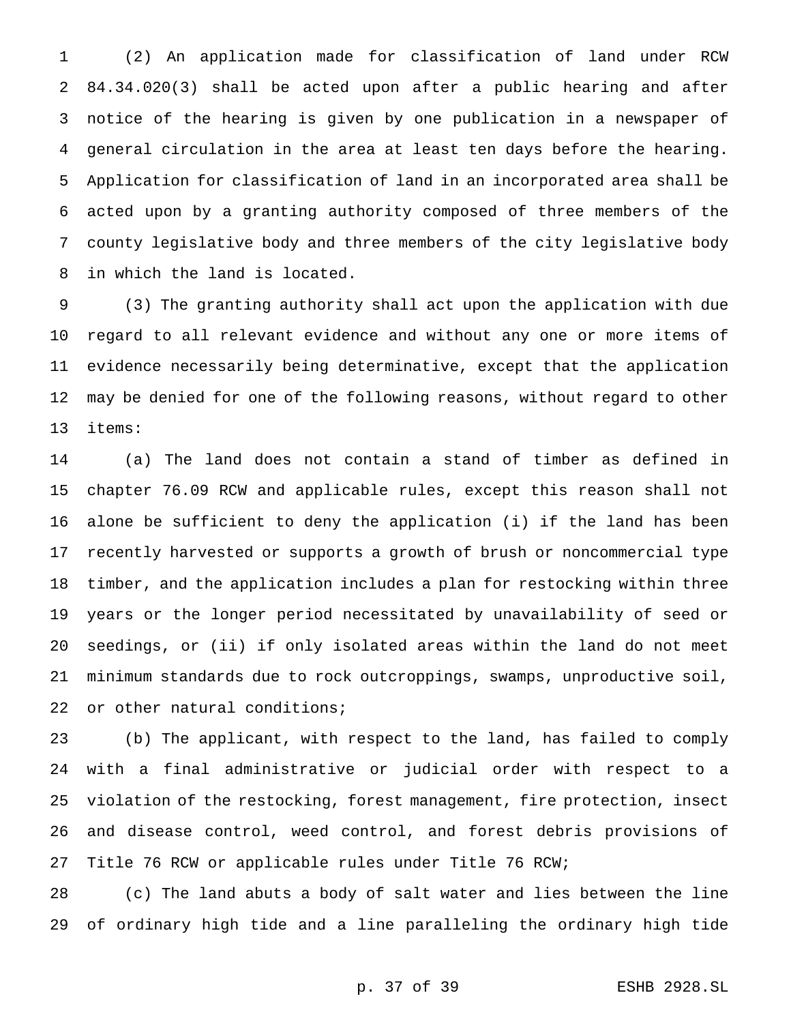(2) An application made for classification of land under RCW 84.34.020(3) shall be acted upon after a public hearing and after notice of the hearing is given by one publication in a newspaper of general circulation in the area at least ten days before the hearing. Application for classification of land in an incorporated area shall be acted upon by a granting authority composed of three members of the county legislative body and three members of the city legislative body in which the land is located.

 (3) The granting authority shall act upon the application with due regard to all relevant evidence and without any one or more items of evidence necessarily being determinative, except that the application may be denied for one of the following reasons, without regard to other items:

 (a) The land does not contain a stand of timber as defined in chapter 76.09 RCW and applicable rules, except this reason shall not alone be sufficient to deny the application (i) if the land has been recently harvested or supports a growth of brush or noncommercial type timber, and the application includes a plan for restocking within three years or the longer period necessitated by unavailability of seed or seedings, or (ii) if only isolated areas within the land do not meet minimum standards due to rock outcroppings, swamps, unproductive soil, or other natural conditions;

 (b) The applicant, with respect to the land, has failed to comply with a final administrative or judicial order with respect to a violation of the restocking, forest management, fire protection, insect and disease control, weed control, and forest debris provisions of Title 76 RCW or applicable rules under Title 76 RCW;

 (c) The land abuts a body of salt water and lies between the line of ordinary high tide and a line paralleling the ordinary high tide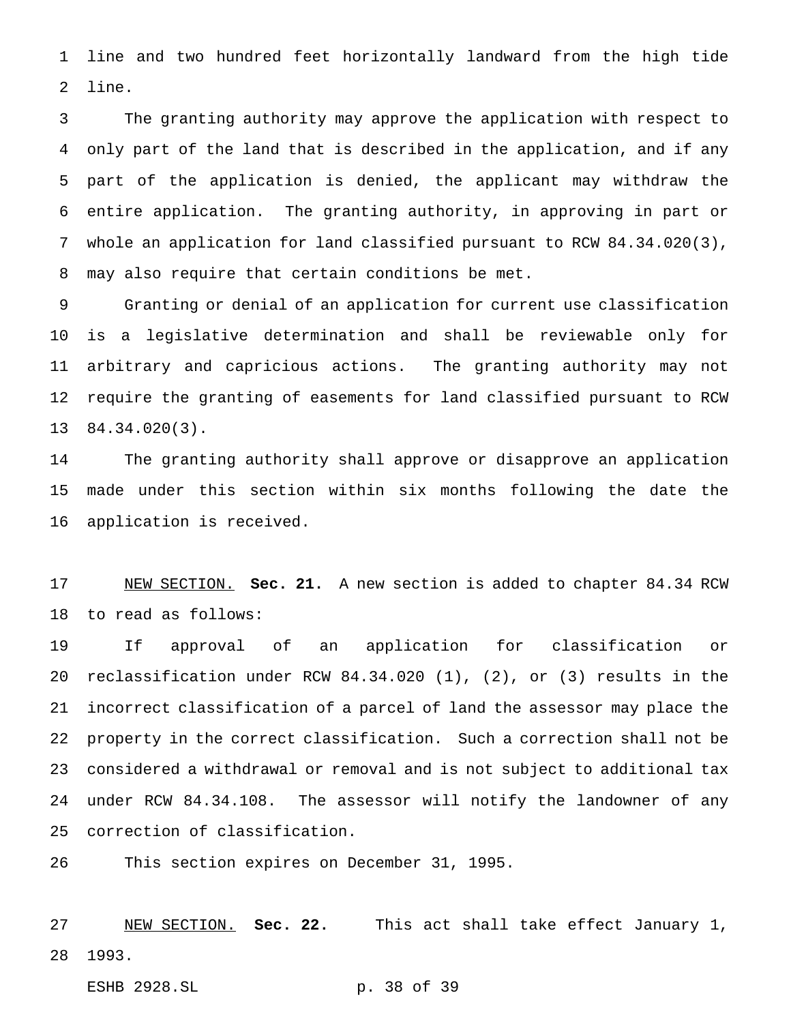line and two hundred feet horizontally landward from the high tide line.

 The granting authority may approve the application with respect to only part of the land that is described in the application, and if any part of the application is denied, the applicant may withdraw the entire application. The granting authority, in approving in part or whole an application for land classified pursuant to RCW 84.34.020(3), may also require that certain conditions be met.

 Granting or denial of an application for current use classification is a legislative determination and shall be reviewable only for arbitrary and capricious actions. The granting authority may not require the granting of easements for land classified pursuant to RCW 84.34.020(3).

 The granting authority shall approve or disapprove an application made under this section within six months following the date the application is received.

 NEW SECTION. **Sec. 21.** A new section is added to chapter 84.34 RCW to read as follows:

 If approval of an application for classification or reclassification under RCW 84.34.020 (1), (2), or (3) results in the incorrect classification of a parcel of land the assessor may place the property in the correct classification. Such a correction shall not be considered a withdrawal or removal and is not subject to additional tax under RCW 84.34.108. The assessor will notify the landowner of any correction of classification.

This section expires on December 31, 1995.

 NEW SECTION. **Sec. 22.** This act shall take effect January 1, 1993.

ESHB 2928.SL p. 38 of 39